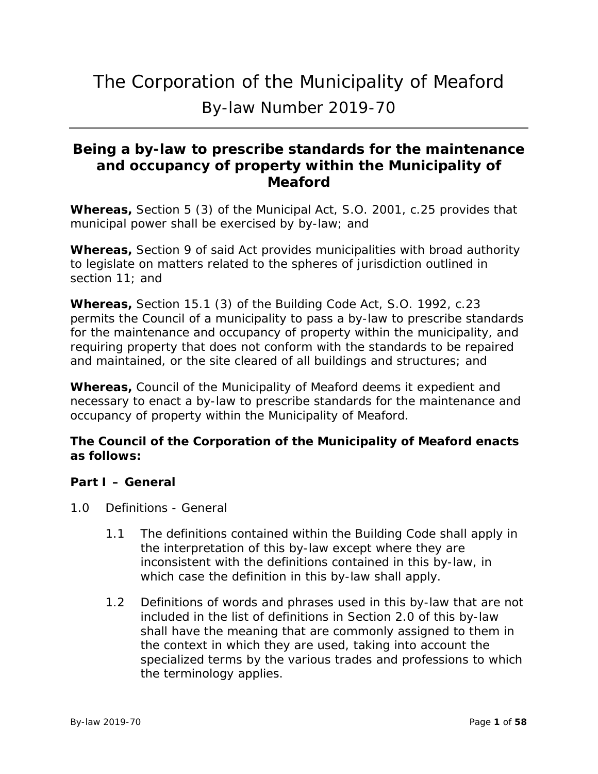# The Corporation of the Municipality of Meaford By-law Number 2019-70

# **Being a by-law to prescribe standards for the maintenance and occupancy of property within the Municipality of Meaford**

**Whereas,** Section 5 (3) of the Municipal Act, S.O. 2001, c.25 provides that municipal power shall be exercised by by-law; and

**Whereas,** Section 9 of said Act provides municipalities with broad authority to legislate on matters related to the spheres of jurisdiction outlined in section 11; and

**Whereas,** Section 15.1 (3) of the Building Code Act, S.O. 1992, c.23 permits the Council of a municipality to pass a by-law to prescribe standards for the maintenance and occupancy of property within the municipality, and requiring property that does not conform with the standards to be repaired and maintained, or the site cleared of all buildings and structures; and

**Whereas,** Council of the Municipality of Meaford deems it expedient and necessary to enact a by-law to prescribe standards for the maintenance and occupancy of property within the Municipality of Meaford.

# **The Council of the Corporation of the Municipality of Meaford enacts as follows:**

# **Part I – General**

- 1.0 Definitions General
	- 1.1 The definitions contained within the Building Code shall apply in the interpretation of this by-law except where they are inconsistent with the definitions contained in this by-law, in which case the definition in this by-law shall apply.
	- 1.2 Definitions of words and phrases used in this by-law that are not included in the list of definitions in Section 2.0 of this by-law shall have the meaning that are commonly assigned to them in the context in which they are used, taking into account the specialized terms by the various trades and professions to which the terminology applies.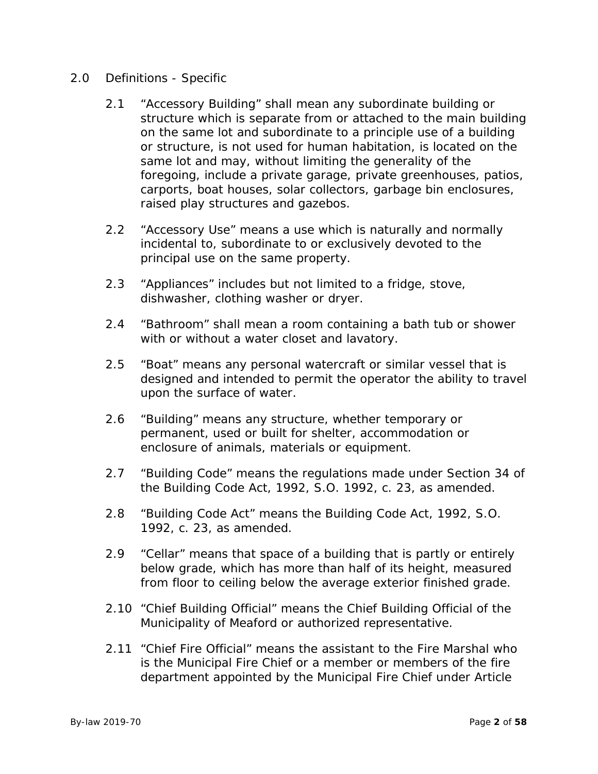# 2.0 Definitions - Specific

- 2.1 "Accessory Building" shall mean any subordinate building or structure which is separate from or attached to the main building on the same lot and subordinate to a principle use of a building or structure, is not used for human habitation, is located on the same lot and may, without limiting the generality of the foregoing, include a private garage, private greenhouses, patios, carports, boat houses, solar collectors, garbage bin enclosures, raised play structures and gazebos.
- 2.2 "Accessory Use" means a use which is naturally and normally incidental to, subordinate to or exclusively devoted to the principal use on the same property.
- 2.3 "Appliances" includes but not limited to a fridge, stove, dishwasher, clothing washer or dryer.
- 2.4 "Bathroom" shall mean a room containing a bath tub or shower with or without a water closet and lavatory.
- 2.5 "Boat" means any personal watercraft or similar vessel that is designed and intended to permit the operator the ability to travel upon the surface of water.
- 2.6 "Building" means any structure, whether temporary or permanent, used or built for shelter, accommodation or enclosure of animals, materials or equipment.
- 2.7 "Building Code" means the regulations made under Section 34 of the Building Code Act, 1992, S.O. 1992, c. 23, as amended.
- 2.8 "Building Code Act" means the Building Code Act, 1992, S.O. 1992, c. 23, as amended.
- 2.9 "Cellar" means that space of a building that is partly or entirely below grade, which has more than half of its height, measured from floor to ceiling below the average exterior finished grade.
- 2.10 "Chief Building Official" means the Chief Building Official of the Municipality of Meaford or authorized representative.
- 2.11 "Chief Fire Official" means the assistant to the Fire Marshal who is the Municipal Fire Chief or a member or members of the fire department appointed by the Municipal Fire Chief under Article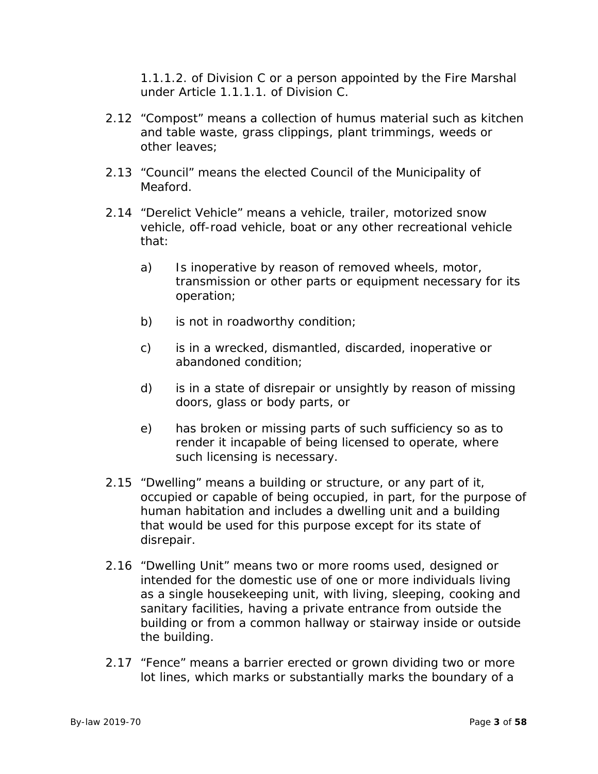1.1.1.2. of Division C or a person appointed by the Fire Marshal under Article 1.1.1.1. of Division C.

- 2.12 "Compost" means a collection of humus material such as kitchen and table waste, grass clippings, plant trimmings, weeds or other leaves;
- 2.13 "Council" means the elected Council of the Municipality of Meaford.
- 2.14 "Derelict Vehicle" means a vehicle, trailer, motorized snow vehicle, off-road vehicle, boat or any other recreational vehicle that:
	- a) Is inoperative by reason of removed wheels, motor, transmission or other parts or equipment necessary for its operation;
	- b) is not in roadworthy condition;
	- c) is in a wrecked, dismantled, discarded, inoperative or abandoned condition;
	- d) is in a state of disrepair or unsightly by reason of missing doors, glass or body parts, or
	- e) has broken or missing parts of such sufficiency so as to render it incapable of being licensed to operate, where such licensing is necessary.
- 2.15 "Dwelling" means a building or structure, or any part of it, occupied or capable of being occupied, in part, for the purpose of human habitation and includes a dwelling unit and a building that would be used for this purpose except for its state of disrepair.
- 2.16 "Dwelling Unit" means two or more rooms used, designed or intended for the domestic use of one or more individuals living as a single housekeeping unit, with living, sleeping, cooking and sanitary facilities, having a private entrance from outside the building or from a common hallway or stairway inside or outside the building.
- 2.17 "Fence" means a barrier erected or grown dividing two or more lot lines, which marks or substantially marks the boundary of a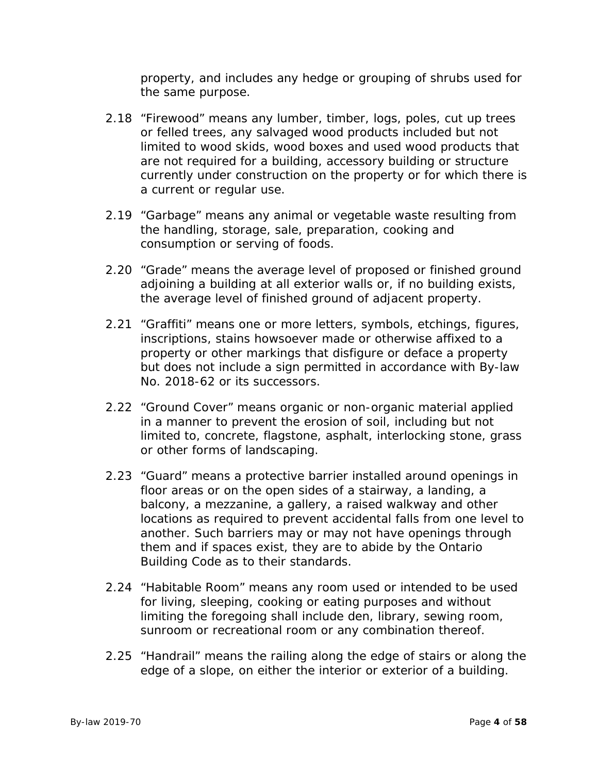property, and includes any hedge or grouping of shrubs used for the same purpose.

- 2.18 "Firewood" means any lumber, timber, logs, poles, cut up trees or felled trees, any salvaged wood products included but not limited to wood skids, wood boxes and used wood products that are not required for a building, accessory building or structure currently under construction on the property or for which there is a current or regular use.
- 2.19 "Garbage" means any animal or vegetable waste resulting from the handling, storage, sale, preparation, cooking and consumption or serving of foods.
- 2.20 "Grade" means the average level of proposed or finished ground adjoining a building at all exterior walls or, if no building exists, the average level of finished ground of adjacent property.
- 2.21 "Graffiti" means one or more letters, symbols, etchings, figures, inscriptions, stains howsoever made or otherwise affixed to a property or other markings that disfigure or deface a property but does not include a sign permitted in accordance with By-law No. 2018-62 or its successors.
- 2.22 "Ground Cover" means organic or non-organic material applied in a manner to prevent the erosion of soil, including but not limited to, concrete, flagstone, asphalt, interlocking stone, grass or other forms of landscaping.
- 2.23 "Guard" means a protective barrier installed around openings in floor areas or on the open sides of a stairway, a landing, a balcony, a mezzanine, a gallery, a raised walkway and other locations as required to prevent accidental falls from one level to another. Such barriers may or may not have openings through them and if spaces exist, they are to abide by the Ontario Building Code as to their standards.
- 2.24 "Habitable Room" means any room used or intended to be used for living, sleeping, cooking or eating purposes and without limiting the foregoing shall include den, library, sewing room, sunroom or recreational room or any combination thereof.
- 2.25 "Handrail" means the railing along the edge of stairs or along the edge of a slope, on either the interior or exterior of a building.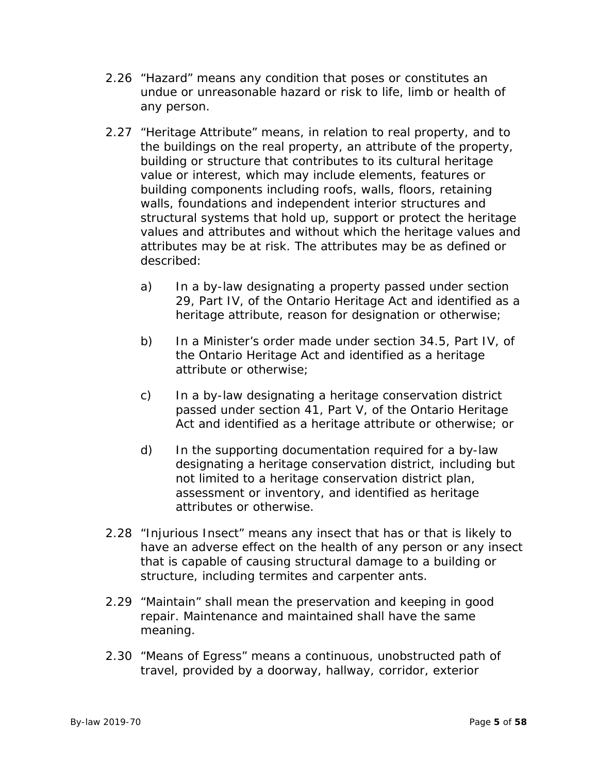- 2.26 "Hazard" means any condition that poses or constitutes an undue or unreasonable hazard or risk to life, limb or health of any person.
- 2.27 "Heritage Attribute" means, in relation to real property, and to the buildings on the real property, an attribute of the property, building or structure that contributes to its cultural heritage value or interest, which may include elements, features or building components including roofs, walls, floors, retaining walls, foundations and independent interior structures and structural systems that hold up, support or protect the heritage values and attributes and without which the heritage values and attributes may be at risk. The attributes may be as defined or described:
	- a) In a by-law designating a property passed under section 29, Part IV, of the Ontario Heritage Act and identified as a heritage attribute, reason for designation or otherwise;
	- b) In a Minister's order made under section 34.5, Part IV, of the Ontario Heritage Act and identified as a heritage attribute or otherwise;
	- c) In a by-law designating a heritage conservation district passed under section 41, Part V, of the Ontario Heritage Act and identified as a heritage attribute or otherwise; or
	- d) In the supporting documentation required for a by-law designating a heritage conservation district, including but not limited to a heritage conservation district plan, assessment or inventory, and identified as heritage attributes or otherwise.
- 2.28 "Injurious Insect" means any insect that has or that is likely to have an adverse effect on the health of any person or any insect that is capable of causing structural damage to a building or structure, including termites and carpenter ants.
- 2.29 "Maintain" shall mean the preservation and keeping in good repair. Maintenance and maintained shall have the same meaning.
- 2.30 "Means of Egress" means a continuous, unobstructed path of travel, provided by a doorway, hallway, corridor, exterior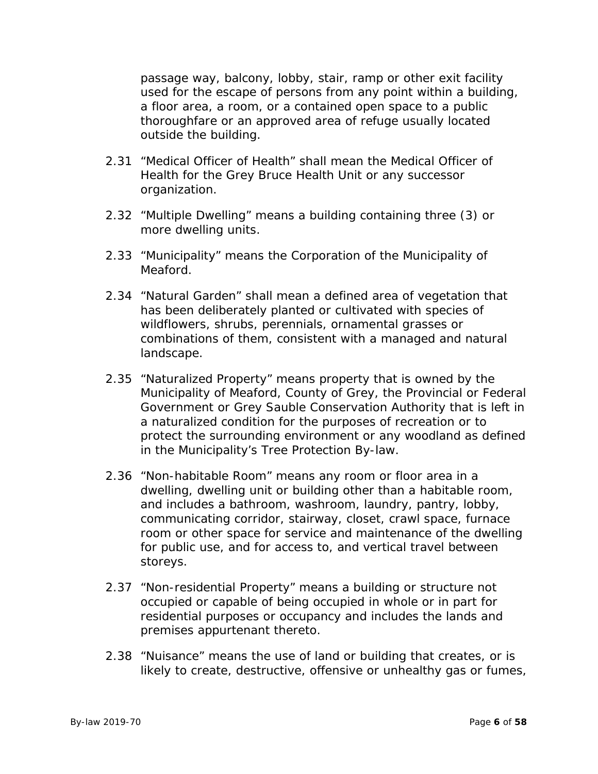passage way, balcony, lobby, stair, ramp or other exit facility used for the escape of persons from any point within a building, a floor area, a room, or a contained open space to a public thoroughfare or an approved area of refuge usually located outside the building.

- 2.31 "Medical Officer of Health" shall mean the Medical Officer of Health for the Grey Bruce Health Unit or any successor organization.
- 2.32 "Multiple Dwelling" means a building containing three (3) or more dwelling units.
- 2.33 "Municipality" means the Corporation of the Municipality of Meaford.
- 2.34 "Natural Garden" shall mean a defined area of vegetation that has been deliberately planted or cultivated with species of wildflowers, shrubs, perennials, ornamental grasses or combinations of them, consistent with a managed and natural landscape.
- 2.35 "Naturalized Property" means property that is owned by the Municipality of Meaford, County of Grey, the Provincial or Federal Government or Grey Sauble Conservation Authority that is left in a naturalized condition for the purposes of recreation or to protect the surrounding environment or any woodland as defined in the Municipality's Tree Protection By-law.
- 2.36 "Non-habitable Room" means any room or floor area in a dwelling, dwelling unit or building other than a habitable room, and includes a bathroom, washroom, laundry, pantry, lobby, communicating corridor, stairway, closet, crawl space, furnace room or other space for service and maintenance of the dwelling for public use, and for access to, and vertical travel between storeys.
- 2.37 "Non-residential Property" means a building or structure not occupied or capable of being occupied in whole or in part for residential purposes or occupancy and includes the lands and premises appurtenant thereto.
- 2.38 "Nuisance" means the use of land or building that creates, or is likely to create, destructive, offensive or unhealthy gas or fumes,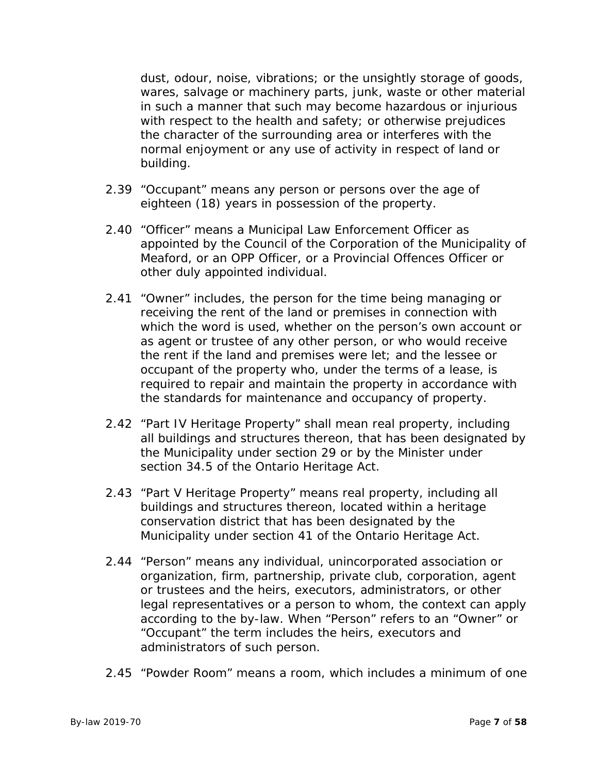dust, odour, noise, vibrations; or the unsightly storage of goods, wares, salvage or machinery parts, junk, waste or other material in such a manner that such may become hazardous or injurious with respect to the health and safety; or otherwise prejudices the character of the surrounding area or interferes with the normal enjoyment or any use of activity in respect of land or building.

- 2.39 "Occupant" means any person or persons over the age of eighteen (18) years in possession of the property.
- 2.40 "Officer" means a Municipal Law Enforcement Officer as appointed by the Council of the Corporation of the Municipality of Meaford, or an OPP Officer, or a Provincial Offences Officer or other duly appointed individual.
- 2.41 "Owner" includes, the person for the time being managing or receiving the rent of the land or premises in connection with which the word is used, whether on the person's own account or as agent or trustee of any other person, or who would receive the rent if the land and premises were let; and the lessee or occupant of the property who, under the terms of a lease, is required to repair and maintain the property in accordance with the standards for maintenance and occupancy of property.
- 2.42 "Part IV Heritage Property" shall mean real property, including all buildings and structures thereon, that has been designated by the Municipality under section 29 or by the Minister under section 34.5 of the Ontario Heritage Act.
- 2.43 "Part V Heritage Property" means real property, including all buildings and structures thereon, located within a heritage conservation district that has been designated by the Municipality under section 41 of the Ontario Heritage Act.
- 2.44 "Person" means any individual, unincorporated association or organization, firm, partnership, private club, corporation, agent or trustees and the heirs, executors, administrators, or other legal representatives or a person to whom, the context can apply according to the by-law. When "Person" refers to an "Owner" or "Occupant" the term includes the heirs, executors and administrators of such person.
- 2.45 "Powder Room" means a room, which includes a minimum of one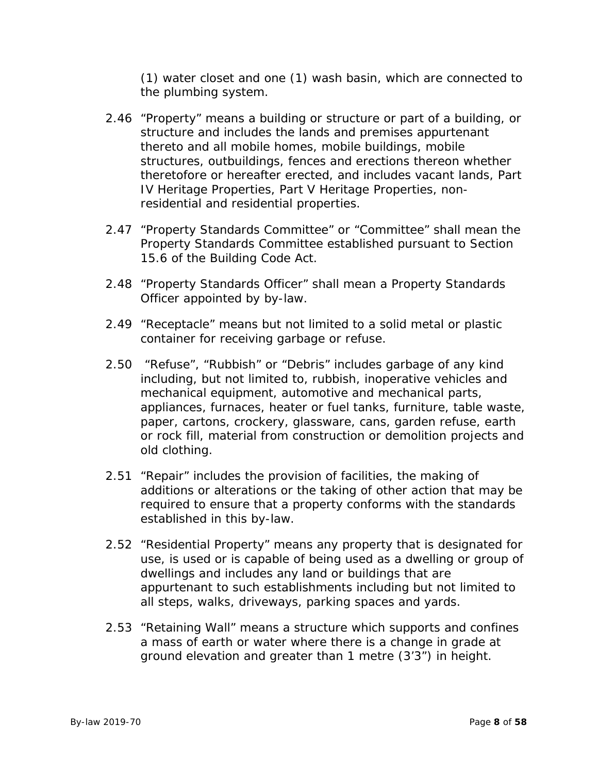(1) water closet and one (1) wash basin, which are connected to the plumbing system.

- 2.46 "Property" means a building or structure or part of a building, or structure and includes the lands and premises appurtenant thereto and all mobile homes, mobile buildings, mobile structures, outbuildings, fences and erections thereon whether theretofore or hereafter erected, and includes vacant lands, Part IV Heritage Properties, Part V Heritage Properties, nonresidential and residential properties.
- 2.47 "Property Standards Committee" or "Committee" shall mean the Property Standards Committee established pursuant to Section 15.6 of the Building Code Act.
- 2.48 "Property Standards Officer" shall mean a Property Standards Officer appointed by by-law.
- 2.49 "Receptacle" means but not limited to a solid metal or plastic container for receiving garbage or refuse.
- 2.50 "Refuse", "Rubbish" or "Debris" includes garbage of any kind including, but not limited to, rubbish, inoperative vehicles and mechanical equipment, automotive and mechanical parts, appliances, furnaces, heater or fuel tanks, furniture, table waste, paper, cartons, crockery, glassware, cans, garden refuse, earth or rock fill, material from construction or demolition projects and old clothing.
- 2.51 "Repair" includes the provision of facilities, the making of additions or alterations or the taking of other action that may be required to ensure that a property conforms with the standards established in this by-law.
- 2.52 "Residential Property" means any property that is designated for use, is used or is capable of being used as a dwelling or group of dwellings and includes any land or buildings that are appurtenant to such establishments including but not limited to all steps, walks, driveways, parking spaces and yards.
- 2.53 "Retaining Wall" means a structure which supports and confines a mass of earth or water where there is a change in grade at ground elevation and greater than 1 metre (3'3") in height.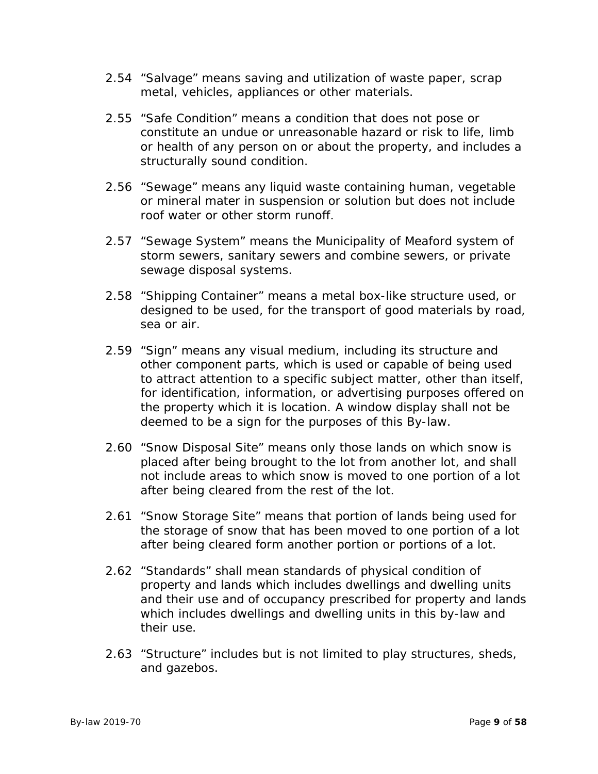- 2.54 "Salvage" means saving and utilization of waste paper, scrap metal, vehicles, appliances or other materials.
- 2.55 "Safe Condition" means a condition that does not pose or constitute an undue or unreasonable hazard or risk to life, limb or health of any person on or about the property, and includes a structurally sound condition.
- 2.56 "Sewage" means any liquid waste containing human, vegetable or mineral mater in suspension or solution but does not include roof water or other storm runoff.
- 2.57 "Sewage System" means the Municipality of Meaford system of storm sewers, sanitary sewers and combine sewers, or private sewage disposal systems.
- 2.58 "Shipping Container" means a metal box-like structure used, or designed to be used, for the transport of good materials by road, sea or air.
- 2.59 "Sign" means any visual medium, including its structure and other component parts, which is used or capable of being used to attract attention to a specific subject matter, other than itself, for identification, information, or advertising purposes offered on the property which it is location. A window display shall not be deemed to be a sign for the purposes of this By-law.
- 2.60 "Snow Disposal Site" means only those lands on which snow is placed after being brought to the lot from another lot, and shall not include areas to which snow is moved to one portion of a lot after being cleared from the rest of the lot.
- 2.61 "Snow Storage Site" means that portion of lands being used for the storage of snow that has been moved to one portion of a lot after being cleared form another portion or portions of a lot.
- 2.62 "Standards" shall mean standards of physical condition of property and lands which includes dwellings and dwelling units and their use and of occupancy prescribed for property and lands which includes dwellings and dwelling units in this by-law and their use.
- 2.63 "Structure" includes but is not limited to play structures, sheds, and gazebos.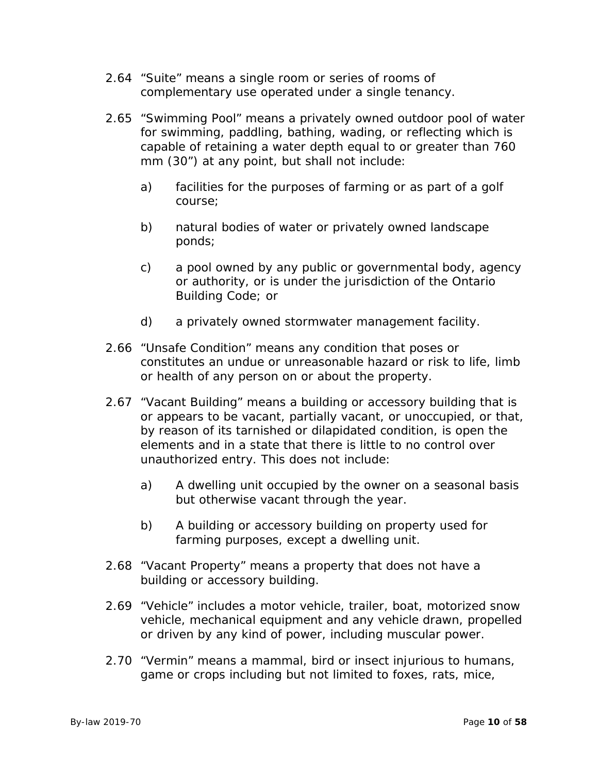- 2.64 "Suite" means a single room or series of rooms of complementary use operated under a single tenancy.
- 2.65 "Swimming Pool" means a privately owned outdoor pool of water for swimming, paddling, bathing, wading, or reflecting which is capable of retaining a water depth equal to or greater than 760 mm (30") at any point, but shall not include:
	- a) facilities for the purposes of farming or as part of a golf course;
	- b) natural bodies of water or privately owned landscape ponds;
	- c) a pool owned by any public or governmental body, agency or authority, or is under the jurisdiction of the Ontario Building Code; or
	- d) a privately owned stormwater management facility.
- 2.66 "Unsafe Condition" means any condition that poses or constitutes an undue or unreasonable hazard or risk to life, limb or health of any person on or about the property.
- 2.67 "Vacant Building" means a building or accessory building that is or appears to be vacant, partially vacant, or unoccupied, or that, by reason of its tarnished or dilapidated condition, is open the elements and in a state that there is little to no control over unauthorized entry. This does not include:
	- a) A dwelling unit occupied by the owner on a seasonal basis but otherwise vacant through the year.
	- b) A building or accessory building on property used for farming purposes, except a dwelling unit.
- 2.68 "Vacant Property" means a property that does not have a building or accessory building.
- 2.69 "Vehicle" includes a motor vehicle, trailer, boat, motorized snow vehicle, mechanical equipment and any vehicle drawn, propelled or driven by any kind of power, including muscular power.
- 2.70 "Vermin" means a mammal, bird or insect injurious to humans, game or crops including but not limited to foxes, rats, mice,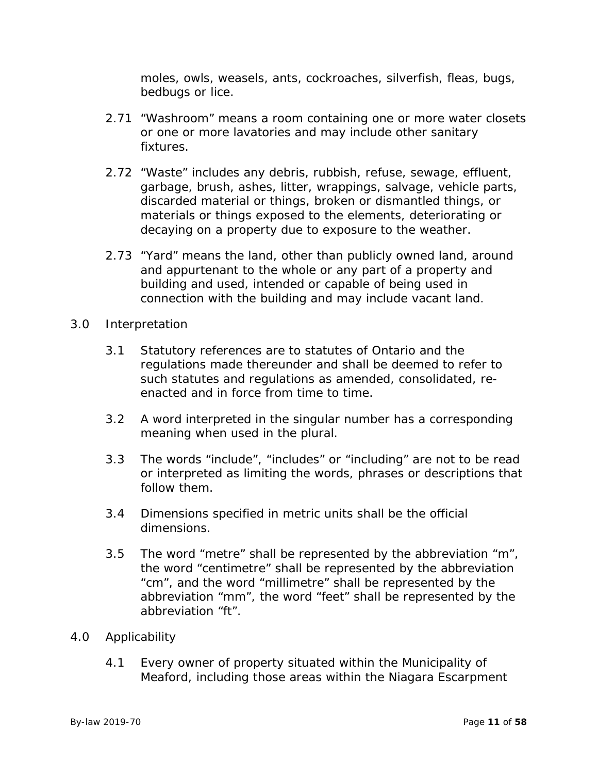moles, owls, weasels, ants, cockroaches, silverfish, fleas, bugs, bedbugs or lice.

- 2.71 "Washroom" means a room containing one or more water closets or one or more lavatories and may include other sanitary fixtures.
- 2.72 "Waste" includes any debris, rubbish, refuse, sewage, effluent, garbage, brush, ashes, litter, wrappings, salvage, vehicle parts, discarded material or things, broken or dismantled things, or materials or things exposed to the elements, deteriorating or decaying on a property due to exposure to the weather.
- 2.73 "Yard" means the land, other than publicly owned land, around and appurtenant to the whole or any part of a property and building and used, intended or capable of being used in connection with the building and may include vacant land.
- 3.0 Interpretation
	- 3.1 Statutory references are to statutes of Ontario and the regulations made thereunder and shall be deemed to refer to such statutes and regulations as amended, consolidated, reenacted and in force from time to time.
	- 3.2 A word interpreted in the singular number has a corresponding meaning when used in the plural.
	- 3.3 The words "include", "includes" or "including" are not to be read or interpreted as limiting the words, phrases or descriptions that follow them.
	- 3.4 Dimensions specified in metric units shall be the official dimensions.
	- 3.5 The word "metre" shall be represented by the abbreviation "m", the word "centimetre" shall be represented by the abbreviation "cm", and the word "millimetre" shall be represented by the abbreviation "mm", the word "feet" shall be represented by the abbreviation "ft".

#### 4.0 Applicability

4.1 Every owner of property situated within the Municipality of Meaford, including those areas within the Niagara Escarpment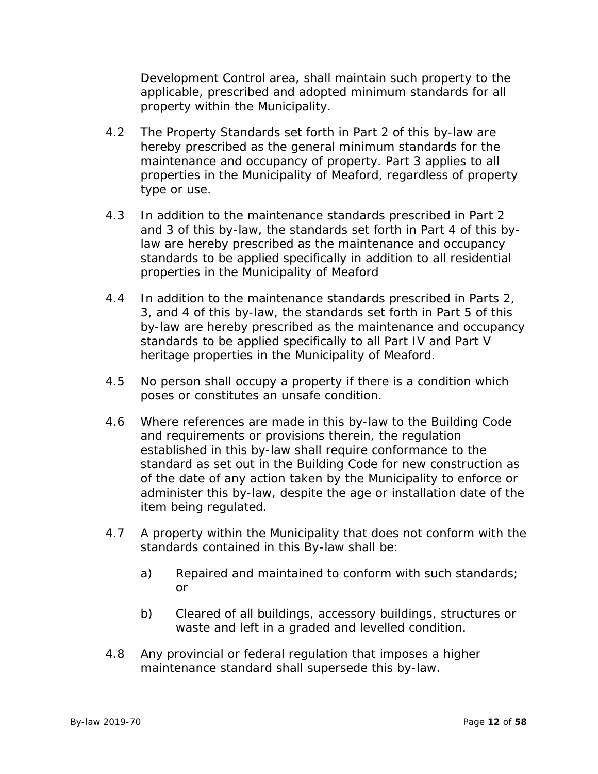Development Control area, shall maintain such property to the applicable, prescribed and adopted minimum standards for all property within the Municipality.

- 4.2 The Property Standards set forth in Part 2 of this by-law are hereby prescribed as the general minimum standards for the maintenance and occupancy of property. Part 3 applies to all properties in the Municipality of Meaford, regardless of property type or use.
- 4.3 In addition to the maintenance standards prescribed in Part 2 and 3 of this by-law, the standards set forth in Part 4 of this bylaw are hereby prescribed as the maintenance and occupancy standards to be applied specifically in addition to all residential properties in the Municipality of Meaford
- 4.4 In addition to the maintenance standards prescribed in Parts 2, 3, and 4 of this by-law, the standards set forth in Part 5 of this by-law are hereby prescribed as the maintenance and occupancy standards to be applied specifically to all Part IV and Part V heritage properties in the Municipality of Meaford.
- 4.5 No person shall occupy a property if there is a condition which poses or constitutes an unsafe condition.
- 4.6 Where references are made in this by-law to the Building Code and requirements or provisions therein, the regulation established in this by-law shall require conformance to the standard as set out in the Building Code for new construction as of the date of any action taken by the Municipality to enforce or administer this by-law, despite the age or installation date of the item being regulated.
- 4.7 A property within the Municipality that does not conform with the standards contained in this By-law shall be:
	- a) Repaired and maintained to conform with such standards; or
	- b) Cleared of all buildings, accessory buildings, structures or waste and left in a graded and levelled condition.
- 4.8 Any provincial or federal regulation that imposes a higher maintenance standard shall supersede this by-law.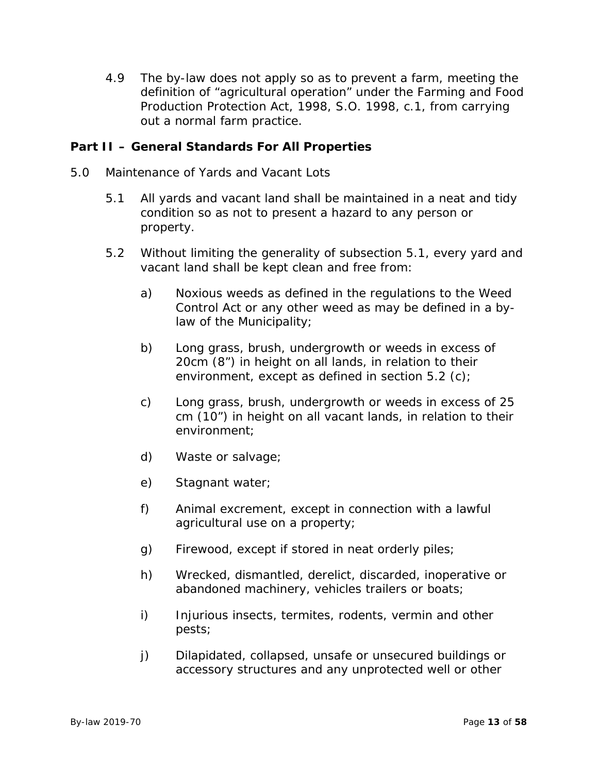4.9 The by-law does not apply so as to prevent a farm, meeting the definition of "agricultural operation" under the Farming and Food Production Protection Act, 1998, S.O. 1998, c.1, from carrying out a normal farm practice.

# **Part II – General Standards For All Properties**

- 5.0 Maintenance of Yards and Vacant Lots
	- 5.1 All yards and vacant land shall be maintained in a neat and tidy condition so as not to present a hazard to any person or property.
	- 5.2 Without limiting the generality of subsection 5.1, every yard and vacant land shall be kept clean and free from:
		- a) Noxious weeds as defined in the regulations to the Weed Control Act or any other weed as may be defined in a bylaw of the Municipality;
		- b) Long grass, brush, undergrowth or weeds in excess of 20cm (8") in height on all lands, in relation to their environment, except as defined in section 5.2 (c);
		- c) Long grass, brush, undergrowth or weeds in excess of 25 cm (10") in height on all vacant lands, in relation to their environment;
		- d) Waste or salvage;
		- e) Stagnant water;
		- f) Animal excrement, except in connection with a lawful agricultural use on a property;
		- g) Firewood, except if stored in neat orderly piles;
		- h) Wrecked, dismantled, derelict, discarded, inoperative or abandoned machinery, vehicles trailers or boats;
		- i) Injurious insects, termites, rodents, vermin and other pests;
		- j) Dilapidated, collapsed, unsafe or unsecured buildings or accessory structures and any unprotected well or other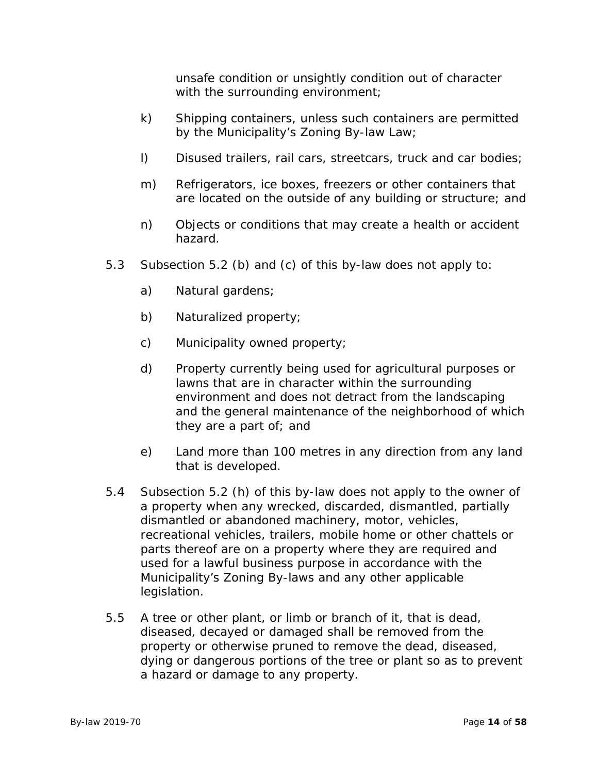unsafe condition or unsightly condition out of character with the surrounding environment;

- k) Shipping containers, unless such containers are permitted by the Municipality's Zoning By-law Law;
- l) Disused trailers, rail cars, streetcars, truck and car bodies;
- m) Refrigerators, ice boxes, freezers or other containers that are located on the outside of any building or structure; and
- n) Objects or conditions that may create a health or accident hazard.
- 5.3 Subsection 5.2 (b) and (c) of this by-law does not apply to:
	- a) Natural gardens;
	- b) Naturalized property;
	- c) Municipality owned property;
	- d) Property currently being used for agricultural purposes or lawns that are in character within the surrounding environment and does not detract from the landscaping and the general maintenance of the neighborhood of which they are a part of; and
	- e) Land more than 100 metres in any direction from any land that is developed.
- 5.4 Subsection 5.2 (h) of this by-law does not apply to the owner of a property when any wrecked, discarded, dismantled, partially dismantled or abandoned machinery, motor, vehicles, recreational vehicles, trailers, mobile home or other chattels or parts thereof are on a property where they are required and used for a lawful business purpose in accordance with the Municipality's Zoning By-laws and any other applicable legislation.
- 5.5 A tree or other plant, or limb or branch of it, that is dead, diseased, decayed or damaged shall be removed from the property or otherwise pruned to remove the dead, diseased, dying or dangerous portions of the tree or plant so as to prevent a hazard or damage to any property.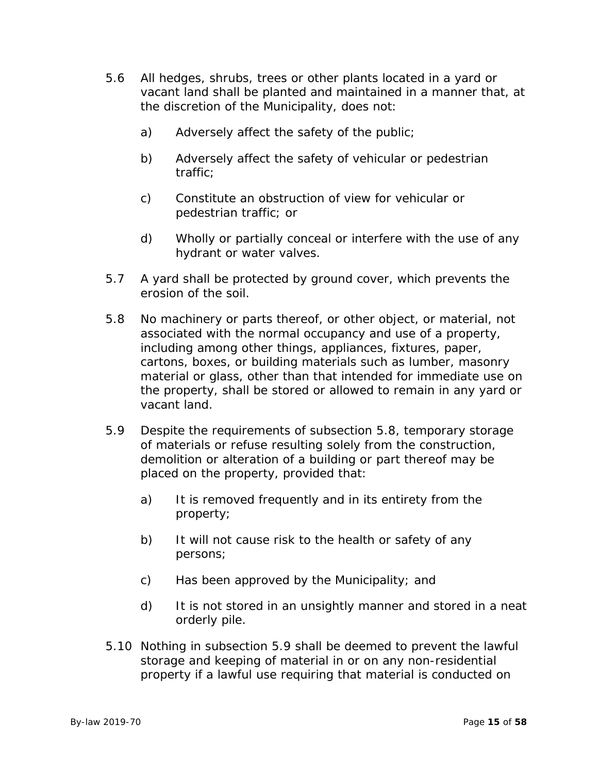- 5.6 All hedges, shrubs, trees or other plants located in a yard or vacant land shall be planted and maintained in a manner that, at the discretion of the Municipality, does not:
	- a) Adversely affect the safety of the public;
	- b) Adversely affect the safety of vehicular or pedestrian traffic;
	- c) Constitute an obstruction of view for vehicular or pedestrian traffic; or
	- d) Wholly or partially conceal or interfere with the use of any hydrant or water valves.
- 5.7 A yard shall be protected by ground cover, which prevents the erosion of the soil.
- 5.8 No machinery or parts thereof, or other object, or material, not associated with the normal occupancy and use of a property, including among other things, appliances, fixtures, paper, cartons, boxes, or building materials such as lumber, masonry material or glass, other than that intended for immediate use on the property, shall be stored or allowed to remain in any yard or vacant land.
- 5.9 Despite the requirements of subsection 5.8, temporary storage of materials or refuse resulting solely from the construction, demolition or alteration of a building or part thereof may be placed on the property, provided that:
	- a) It is removed frequently and in its entirety from the property;
	- b) It will not cause risk to the health or safety of any persons;
	- c) Has been approved by the Municipality; and
	- d) It is not stored in an unsightly manner and stored in a neat orderly pile.
- 5.10 Nothing in subsection 5.9 shall be deemed to prevent the lawful storage and keeping of material in or on any non-residential property if a lawful use requiring that material is conducted on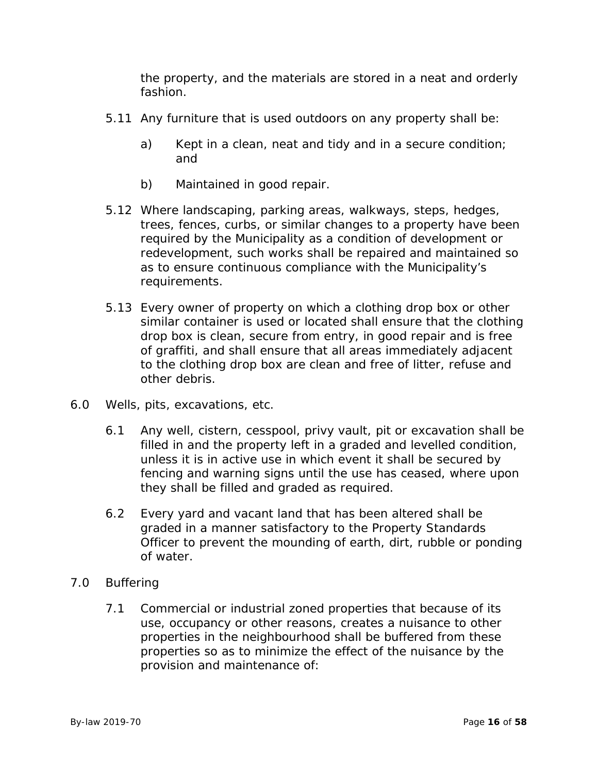the property, and the materials are stored in a neat and orderly fashion.

- 5.11 Any furniture that is used outdoors on any property shall be:
	- a) Kept in a clean, neat and tidy and in a secure condition; and
	- b) Maintained in good repair.
- 5.12 Where landscaping, parking areas, walkways, steps, hedges, trees, fences, curbs, or similar changes to a property have been required by the Municipality as a condition of development or redevelopment, such works shall be repaired and maintained so as to ensure continuous compliance with the Municipality's requirements.
- 5.13 Every owner of property on which a clothing drop box or other similar container is used or located shall ensure that the clothing drop box is clean, secure from entry, in good repair and is free of graffiti, and shall ensure that all areas immediately adjacent to the clothing drop box are clean and free of litter, refuse and other debris.
- 6.0 Wells, pits, excavations, etc.
	- 6.1 Any well, cistern, cesspool, privy vault, pit or excavation shall be filled in and the property left in a graded and levelled condition, unless it is in active use in which event it shall be secured by fencing and warning signs until the use has ceased, where upon they shall be filled and graded as required.
	- 6.2 Every yard and vacant land that has been altered shall be graded in a manner satisfactory to the Property Standards Officer to prevent the mounding of earth, dirt, rubble or ponding of water.
- 7.0 Buffering
	- 7.1 Commercial or industrial zoned properties that because of its use, occupancy or other reasons, creates a nuisance to other properties in the neighbourhood shall be buffered from these properties so as to minimize the effect of the nuisance by the provision and maintenance of: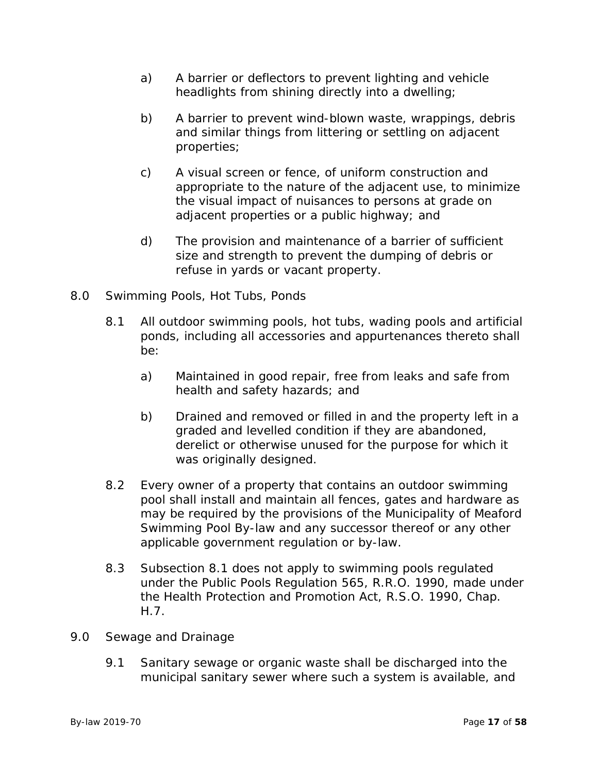- a) A barrier or deflectors to prevent lighting and vehicle headlights from shining directly into a dwelling;
- b) A barrier to prevent wind-blown waste, wrappings, debris and similar things from littering or settling on adjacent properties;
- c) A visual screen or fence, of uniform construction and appropriate to the nature of the adjacent use, to minimize the visual impact of nuisances to persons at grade on adjacent properties or a public highway; and
- d) The provision and maintenance of a barrier of sufficient size and strength to prevent the dumping of debris or refuse in yards or vacant property.
- 8.0 Swimming Pools, Hot Tubs, Ponds
	- 8.1 All outdoor swimming pools, hot tubs, wading pools and artificial ponds, including all accessories and appurtenances thereto shall be:
		- a) Maintained in good repair, free from leaks and safe from health and safety hazards; and
		- b) Drained and removed or filled in and the property left in a graded and levelled condition if they are abandoned, derelict or otherwise unused for the purpose for which it was originally designed.
	- 8.2 Every owner of a property that contains an outdoor swimming pool shall install and maintain all fences, gates and hardware as may be required by the provisions of the Municipality of Meaford Swimming Pool By-law and any successor thereof or any other applicable government regulation or by-law.
	- 8.3 Subsection 8.1 does not apply to swimming pools regulated under the Public Pools Regulation 565, R.R.O. 1990, made under the Health Protection and Promotion Act, R.S.O. 1990, Chap. H.7.
- 9.0 Sewage and Drainage
	- 9.1 Sanitary sewage or organic waste shall be discharged into the municipal sanitary sewer where such a system is available, and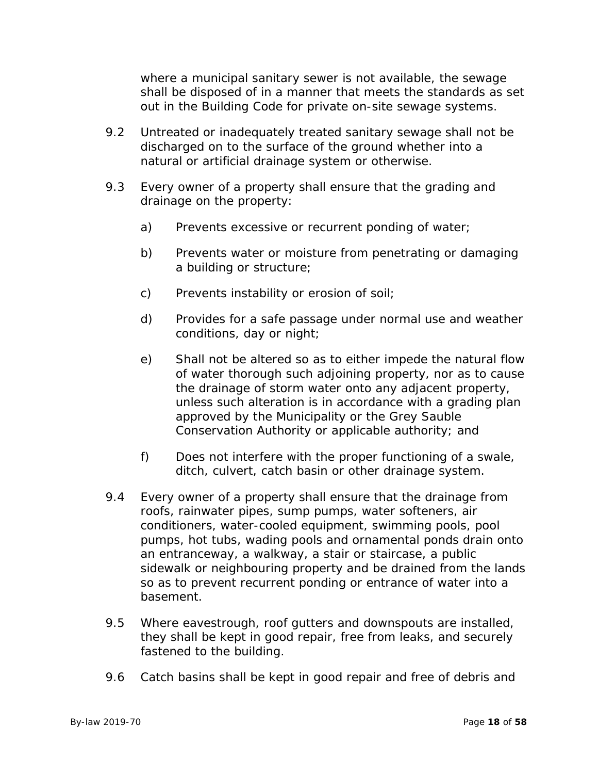where a municipal sanitary sewer is not available, the sewage shall be disposed of in a manner that meets the standards as set out in the Building Code for private on-site sewage systems.

- 9.2 Untreated or inadequately treated sanitary sewage shall not be discharged on to the surface of the ground whether into a natural or artificial drainage system or otherwise.
- 9.3 Every owner of a property shall ensure that the grading and drainage on the property:
	- a) Prevents excessive or recurrent ponding of water;
	- b) Prevents water or moisture from penetrating or damaging a building or structure;
	- c) Prevents instability or erosion of soil;
	- d) Provides for a safe passage under normal use and weather conditions, day or night;
	- e) Shall not be altered so as to either impede the natural flow of water thorough such adjoining property, nor as to cause the drainage of storm water onto any adjacent property, unless such alteration is in accordance with a grading plan approved by the Municipality or the Grey Sauble Conservation Authority or applicable authority; and
	- f) Does not interfere with the proper functioning of a swale, ditch, culvert, catch basin or other drainage system.
- 9.4 Every owner of a property shall ensure that the drainage from roofs, rainwater pipes, sump pumps, water softeners, air conditioners, water-cooled equipment, swimming pools, pool pumps, hot tubs, wading pools and ornamental ponds drain onto an entranceway, a walkway, a stair or staircase, a public sidewalk or neighbouring property and be drained from the lands so as to prevent recurrent ponding or entrance of water into a basement.
- 9.5 Where eavestrough, roof gutters and downspouts are installed, they shall be kept in good repair, free from leaks, and securely fastened to the building.
- 9.6 Catch basins shall be kept in good repair and free of debris and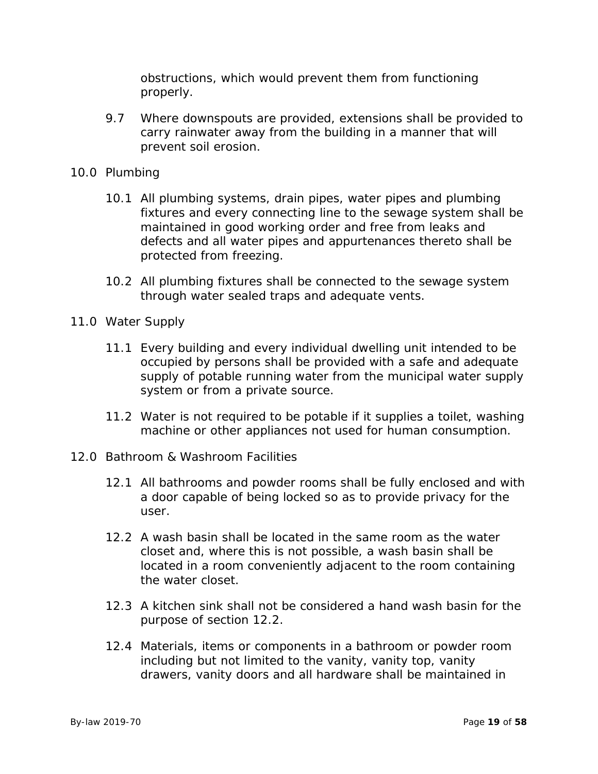obstructions, which would prevent them from functioning properly.

- 9.7 Where downspouts are provided, extensions shall be provided to carry rainwater away from the building in a manner that will prevent soil erosion.
- 10.0 Plumbing
	- 10.1 All plumbing systems, drain pipes, water pipes and plumbing fixtures and every connecting line to the sewage system shall be maintained in good working order and free from leaks and defects and all water pipes and appurtenances thereto shall be protected from freezing.
	- 10.2 All plumbing fixtures shall be connected to the sewage system through water sealed traps and adequate vents.
- 11.0 Water Supply
	- 11.1 Every building and every individual dwelling unit intended to be occupied by persons shall be provided with a safe and adequate supply of potable running water from the municipal water supply system or from a private source.
	- 11.2 Water is not required to be potable if it supplies a toilet, washing machine or other appliances not used for human consumption.
- 12.0 Bathroom & Washroom Facilities
	- 12.1 All bathrooms and powder rooms shall be fully enclosed and with a door capable of being locked so as to provide privacy for the user.
	- 12.2 A wash basin shall be located in the same room as the water closet and, where this is not possible, a wash basin shall be located in a room conveniently adjacent to the room containing the water closet.
	- 12.3 A kitchen sink shall not be considered a hand wash basin for the purpose of section 12.2.
	- 12.4 Materials, items or components in a bathroom or powder room including but not limited to the vanity, vanity top, vanity drawers, vanity doors and all hardware shall be maintained in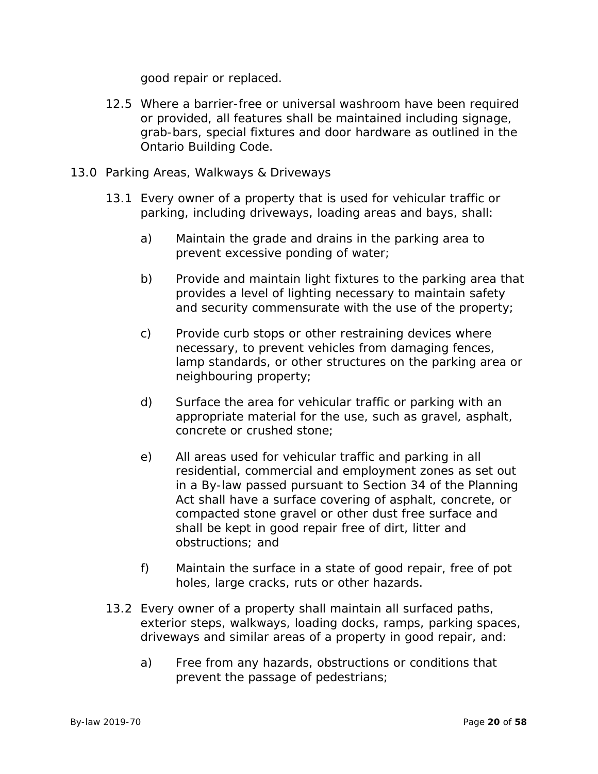good repair or replaced.

- 12.5 Where a barrier-free or universal washroom have been required or provided, all features shall be maintained including signage, grab-bars, special fixtures and door hardware as outlined in the Ontario Building Code.
- 13.0 Parking Areas, Walkways & Driveways
	- 13.1 Every owner of a property that is used for vehicular traffic or parking, including driveways, loading areas and bays, shall:
		- a) Maintain the grade and drains in the parking area to prevent excessive ponding of water;
		- b) Provide and maintain light fixtures to the parking area that provides a level of lighting necessary to maintain safety and security commensurate with the use of the property;
		- c) Provide curb stops or other restraining devices where necessary, to prevent vehicles from damaging fences, lamp standards, or other structures on the parking area or neighbouring property;
		- d) Surface the area for vehicular traffic or parking with an appropriate material for the use, such as gravel, asphalt, concrete or crushed stone;
		- e) All areas used for vehicular traffic and parking in all residential, commercial and employment zones as set out in a By-law passed pursuant to Section 34 of the Planning Act shall have a surface covering of asphalt, concrete, or compacted stone gravel or other dust free surface and shall be kept in good repair free of dirt, litter and obstructions; and
		- f) Maintain the surface in a state of good repair, free of pot holes, large cracks, ruts or other hazards.
	- 13.2 Every owner of a property shall maintain all surfaced paths, exterior steps, walkways, loading docks, ramps, parking spaces, driveways and similar areas of a property in good repair, and:
		- a) Free from any hazards, obstructions or conditions that prevent the passage of pedestrians;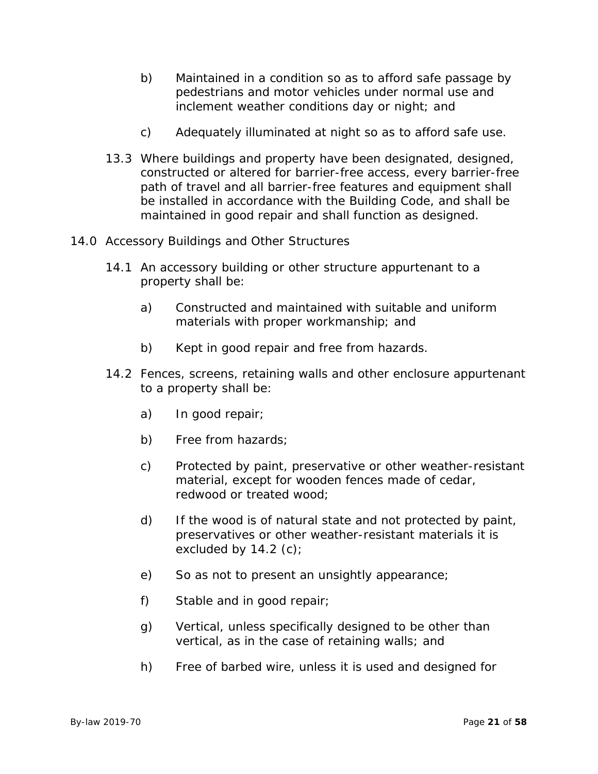- b) Maintained in a condition so as to afford safe passage by pedestrians and motor vehicles under normal use and inclement weather conditions day or night; and
- c) Adequately illuminated at night so as to afford safe use.
- 13.3 Where buildings and property have been designated, designed, constructed or altered for barrier-free access, every barrier-free path of travel and all barrier-free features and equipment shall be installed in accordance with the Building Code, and shall be maintained in good repair and shall function as designed.
- 14.0 Accessory Buildings and Other Structures
	- 14.1 An accessory building or other structure appurtenant to a property shall be:
		- a) Constructed and maintained with suitable and uniform materials with proper workmanship; and
		- b) Kept in good repair and free from hazards.
	- 14.2 Fences, screens, retaining walls and other enclosure appurtenant to a property shall be:
		- a) In good repair;
		- b) Free from hazards;
		- c) Protected by paint, preservative or other weather-resistant material, except for wooden fences made of cedar, redwood or treated wood;
		- d) If the wood is of natural state and not protected by paint, preservatives or other weather-resistant materials it is excluded by  $14.2$  (c);
		- e) So as not to present an unsightly appearance;
		- f) Stable and in good repair;
		- g) Vertical, unless specifically designed to be other than vertical, as in the case of retaining walls; and
		- h) Free of barbed wire, unless it is used and designed for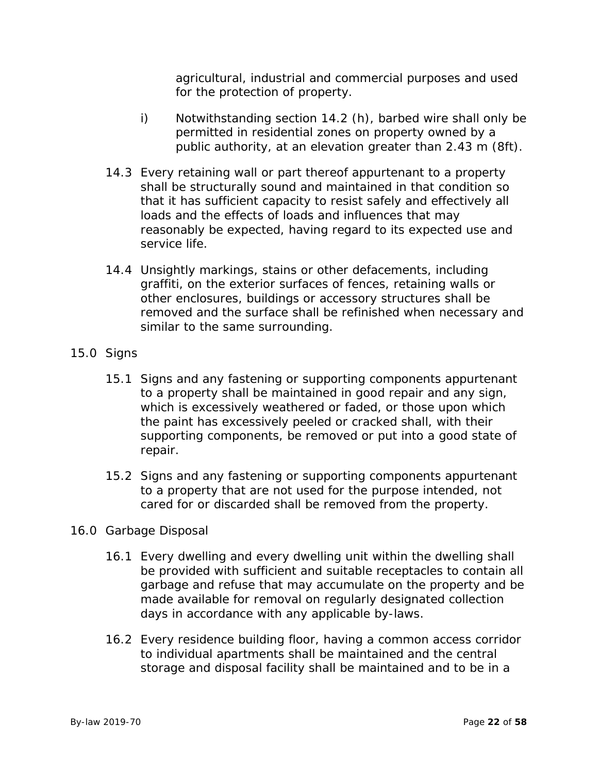agricultural, industrial and commercial purposes and used for the protection of property.

- i) Notwithstanding section 14.2 (h), barbed wire shall only be permitted in residential zones on property owned by a public authority, at an elevation greater than 2.43 m (8ft).
- 14.3 Every retaining wall or part thereof appurtenant to a property shall be structurally sound and maintained in that condition so that it has sufficient capacity to resist safely and effectively all loads and the effects of loads and influences that may reasonably be expected, having regard to its expected use and service life.
- 14.4 Unsightly markings, stains or other defacements, including graffiti, on the exterior surfaces of fences, retaining walls or other enclosures, buildings or accessory structures shall be removed and the surface shall be refinished when necessary and similar to the same surrounding.
- 15.0 Signs
	- 15.1 Signs and any fastening or supporting components appurtenant to a property shall be maintained in good repair and any sign, which is excessively weathered or faded, or those upon which the paint has excessively peeled or cracked shall, with their supporting components, be removed or put into a good state of repair.
	- 15.2 Signs and any fastening or supporting components appurtenant to a property that are not used for the purpose intended, not cared for or discarded shall be removed from the property.
- 16.0 Garbage Disposal
	- 16.1 Every dwelling and every dwelling unit within the dwelling shall be provided with sufficient and suitable receptacles to contain all garbage and refuse that may accumulate on the property and be made available for removal on regularly designated collection days in accordance with any applicable by-laws.
	- 16.2 Every residence building floor, having a common access corridor to individual apartments shall be maintained and the central storage and disposal facility shall be maintained and to be in a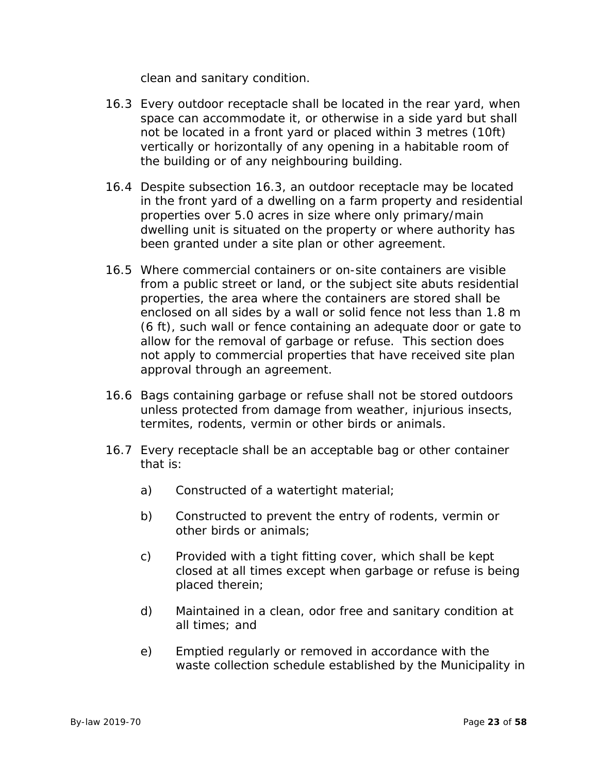clean and sanitary condition.

- 16.3 Every outdoor receptacle shall be located in the rear yard, when space can accommodate it, or otherwise in a side yard but shall not be located in a front yard or placed within 3 metres (10ft) vertically or horizontally of any opening in a habitable room of the building or of any neighbouring building.
- 16.4 Despite subsection 16.3, an outdoor receptacle may be located in the front yard of a dwelling on a farm property and residential properties over 5.0 acres in size where only primary/main dwelling unit is situated on the property or where authority has been granted under a site plan or other agreement.
- 16.5 Where commercial containers or on-site containers are visible from a public street or land, or the subject site abuts residential properties, the area where the containers are stored shall be enclosed on all sides by a wall or solid fence not less than 1.8 m (6 ft), such wall or fence containing an adequate door or gate to allow for the removal of garbage or refuse. This section does not apply to commercial properties that have received site plan approval through an agreement.
- 16.6 Bags containing garbage or refuse shall not be stored outdoors unless protected from damage from weather, injurious insects, termites, rodents, vermin or other birds or animals.
- 16.7 Every receptacle shall be an acceptable bag or other container that is:
	- a) Constructed of a watertight material;
	- b) Constructed to prevent the entry of rodents, vermin or other birds or animals;
	- c) Provided with a tight fitting cover, which shall be kept closed at all times except when garbage or refuse is being placed therein;
	- d) Maintained in a clean, odor free and sanitary condition at all times; and
	- e) Emptied regularly or removed in accordance with the waste collection schedule established by the Municipality in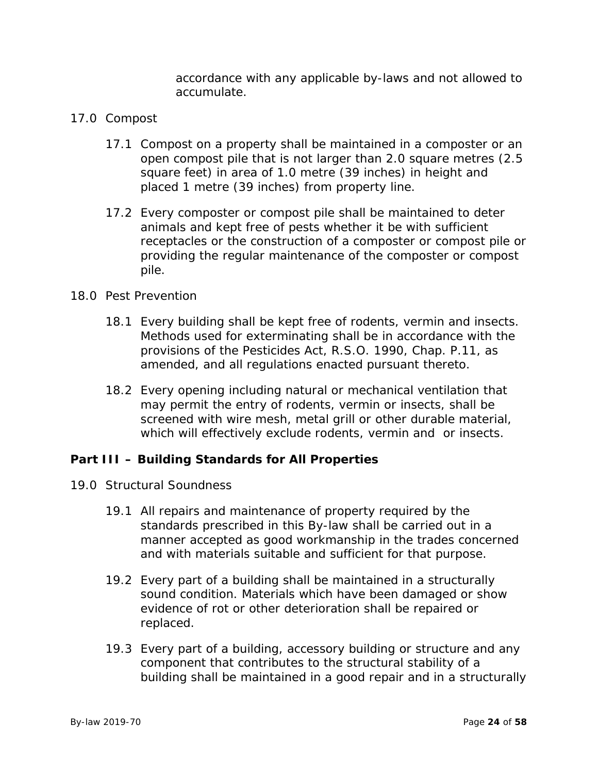accordance with any applicable by-laws and not allowed to accumulate.

- 17.0 Compost
	- 17.1 Compost on a property shall be maintained in a composter or an open compost pile that is not larger than 2.0 square metres (2.5 square feet) in area of 1.0 metre (39 inches) in height and placed 1 metre (39 inches) from property line.
	- 17.2 Every composter or compost pile shall be maintained to deter animals and kept free of pests whether it be with sufficient receptacles or the construction of a composter or compost pile or providing the regular maintenance of the composter or compost pile.

# 18.0 Pest Prevention

- 18.1 Every building shall be kept free of rodents, vermin and insects. Methods used for exterminating shall be in accordance with the provisions of the Pesticides Act, R.S.O. 1990, Chap. P.11, as amended, and all regulations enacted pursuant thereto.
- 18.2 Every opening including natural or mechanical ventilation that may permit the entry of rodents, vermin or insects, shall be screened with wire mesh, metal grill or other durable material, which will effectively exclude rodents, vermin and or insects.

# **Part III – Building Standards for All Properties**

- 19.0 Structural Soundness
	- 19.1 All repairs and maintenance of property required by the standards prescribed in this By-law shall be carried out in a manner accepted as good workmanship in the trades concerned and with materials suitable and sufficient for that purpose.
	- 19.2 Every part of a building shall be maintained in a structurally sound condition. Materials which have been damaged or show evidence of rot or other deterioration shall be repaired or replaced.
	- 19.3 Every part of a building, accessory building or structure and any component that contributes to the structural stability of a building shall be maintained in a good repair and in a structurally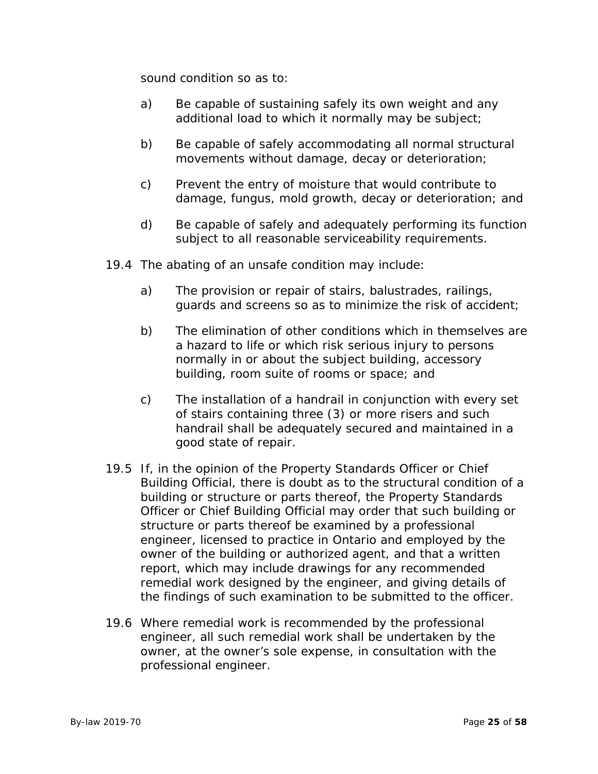sound condition so as to:

- a) Be capable of sustaining safely its own weight and any additional load to which it normally may be subject;
- b) Be capable of safely accommodating all normal structural movements without damage, decay or deterioration;
- c) Prevent the entry of moisture that would contribute to damage, fungus, mold growth, decay or deterioration; and
- d) Be capable of safely and adequately performing its function subject to all reasonable serviceability requirements.
- 19.4 The abating of an unsafe condition may include:
	- a) The provision or repair of stairs, balustrades, railings, guards and screens so as to minimize the risk of accident;
	- b) The elimination of other conditions which in themselves are a hazard to life or which risk serious injury to persons normally in or about the subject building, accessory building, room suite of rooms or space; and
	- c) The installation of a handrail in conjunction with every set of stairs containing three (3) or more risers and such handrail shall be adequately secured and maintained in a good state of repair.
- 19.5 If, in the opinion of the Property Standards Officer or Chief Building Official, there is doubt as to the structural condition of a building or structure or parts thereof, the Property Standards Officer or Chief Building Official may order that such building or structure or parts thereof be examined by a professional engineer, licensed to practice in Ontario and employed by the owner of the building or authorized agent, and that a written report, which may include drawings for any recommended remedial work designed by the engineer, and giving details of the findings of such examination to be submitted to the officer.
- 19.6 Where remedial work is recommended by the professional engineer, all such remedial work shall be undertaken by the owner, at the owner's sole expense, in consultation with the professional engineer.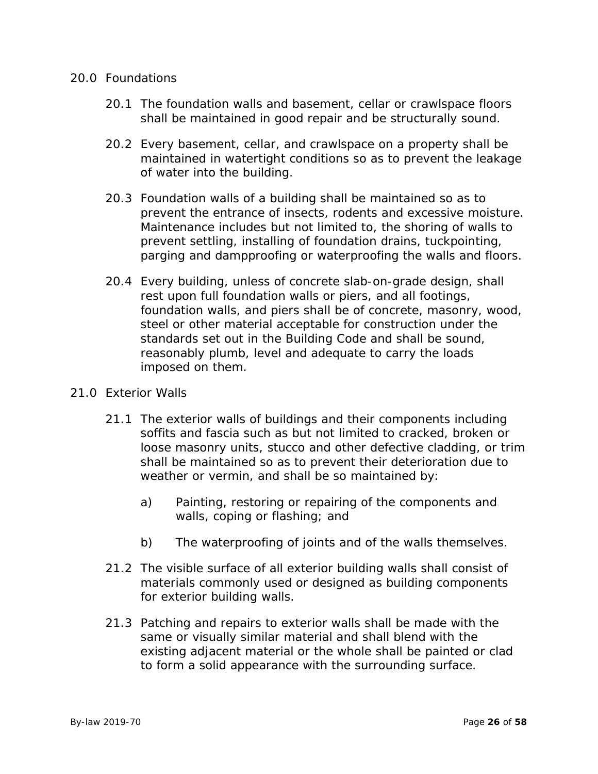#### 20.0 Foundations

- 20.1 The foundation walls and basement, cellar or crawlspace floors shall be maintained in good repair and be structurally sound.
- 20.2 Every basement, cellar, and crawlspace on a property shall be maintained in watertight conditions so as to prevent the leakage of water into the building.
- 20.3 Foundation walls of a building shall be maintained so as to prevent the entrance of insects, rodents and excessive moisture. Maintenance includes but not limited to, the shoring of walls to prevent settling, installing of foundation drains, tuckpointing, parging and dampproofing or waterproofing the walls and floors.
- 20.4 Every building, unless of concrete slab-on-grade design, shall rest upon full foundation walls or piers, and all footings, foundation walls, and piers shall be of concrete, masonry, wood, steel or other material acceptable for construction under the standards set out in the Building Code and shall be sound, reasonably plumb, level and adequate to carry the loads imposed on them.
- 21.0 Exterior Walls
	- 21.1 The exterior walls of buildings and their components including soffits and fascia such as but not limited to cracked, broken or loose masonry units, stucco and other defective cladding, or trim shall be maintained so as to prevent their deterioration due to weather or vermin, and shall be so maintained by:
		- a) Painting, restoring or repairing of the components and walls, coping or flashing; and
		- b) The waterproofing of joints and of the walls themselves.
	- 21.2 The visible surface of all exterior building walls shall consist of materials commonly used or designed as building components for exterior building walls.
	- 21.3 Patching and repairs to exterior walls shall be made with the same or visually similar material and shall blend with the existing adjacent material or the whole shall be painted or clad to form a solid appearance with the surrounding surface.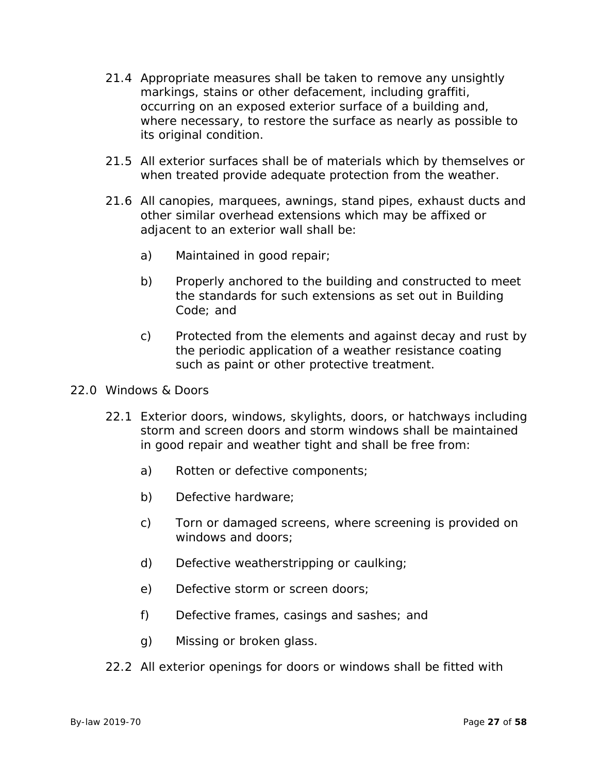- 21.4 Appropriate measures shall be taken to remove any unsightly markings, stains or other defacement, including graffiti, occurring on an exposed exterior surface of a building and, where necessary, to restore the surface as nearly as possible to its original condition.
- 21.5 All exterior surfaces shall be of materials which by themselves or when treated provide adequate protection from the weather.
- 21.6 All canopies, marquees, awnings, stand pipes, exhaust ducts and other similar overhead extensions which may be affixed or adjacent to an exterior wall shall be:
	- a) Maintained in good repair;
	- b) Properly anchored to the building and constructed to meet the standards for such extensions as set out in Building Code; and
	- c) Protected from the elements and against decay and rust by the periodic application of a weather resistance coating such as paint or other protective treatment.
- 22.0 Windows & Doors
	- 22.1 Exterior doors, windows, skylights, doors, or hatchways including storm and screen doors and storm windows shall be maintained in good repair and weather tight and shall be free from:
		- a) Rotten or defective components;
		- b) Defective hardware;
		- c) Torn or damaged screens, where screening is provided on windows and doors;
		- d) Defective weatherstripping or caulking;
		- e) Defective storm or screen doors;
		- f) Defective frames, casings and sashes; and
		- g) Missing or broken glass.
	- 22.2 All exterior openings for doors or windows shall be fitted with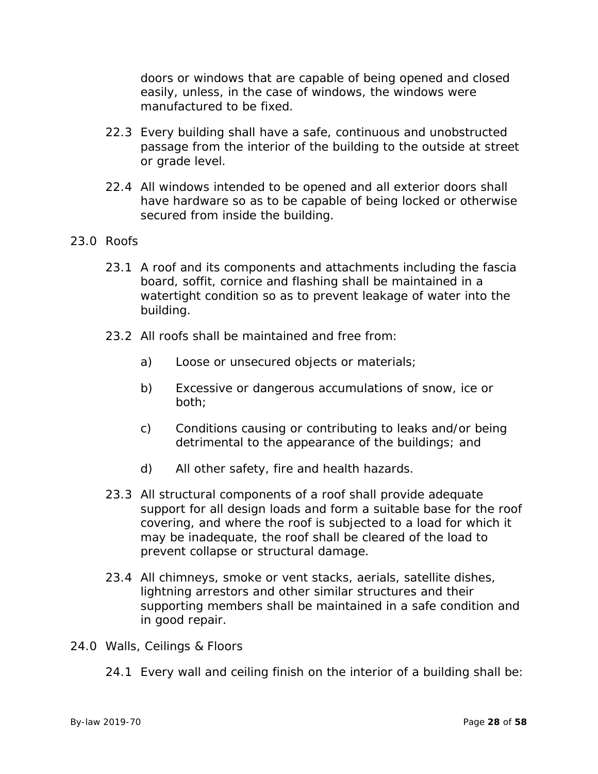doors or windows that are capable of being opened and closed easily, unless, in the case of windows, the windows were manufactured to be fixed.

- 22.3 Every building shall have a safe, continuous and unobstructed passage from the interior of the building to the outside at street or grade level.
- 22.4 All windows intended to be opened and all exterior doors shall have hardware so as to be capable of being locked or otherwise secured from inside the building.

# 23.0 Roofs

- 23.1 A roof and its components and attachments including the fascia board, soffit, cornice and flashing shall be maintained in a watertight condition so as to prevent leakage of water into the building.
- 23.2 All roofs shall be maintained and free from:
	- a) Loose or unsecured objects or materials;
	- b) Excessive or dangerous accumulations of snow, ice or both;
	- c) Conditions causing or contributing to leaks and/or being detrimental to the appearance of the buildings; and
	- d) All other safety, fire and health hazards.
- 23.3 All structural components of a roof shall provide adequate support for all design loads and form a suitable base for the roof covering, and where the roof is subjected to a load for which it may be inadequate, the roof shall be cleared of the load to prevent collapse or structural damage.
- 23.4 All chimneys, smoke or vent stacks, aerials, satellite dishes, lightning arrestors and other similar structures and their supporting members shall be maintained in a safe condition and in good repair.
- 24.0 Walls, Ceilings & Floors
	- 24.1 Every wall and ceiling finish on the interior of a building shall be: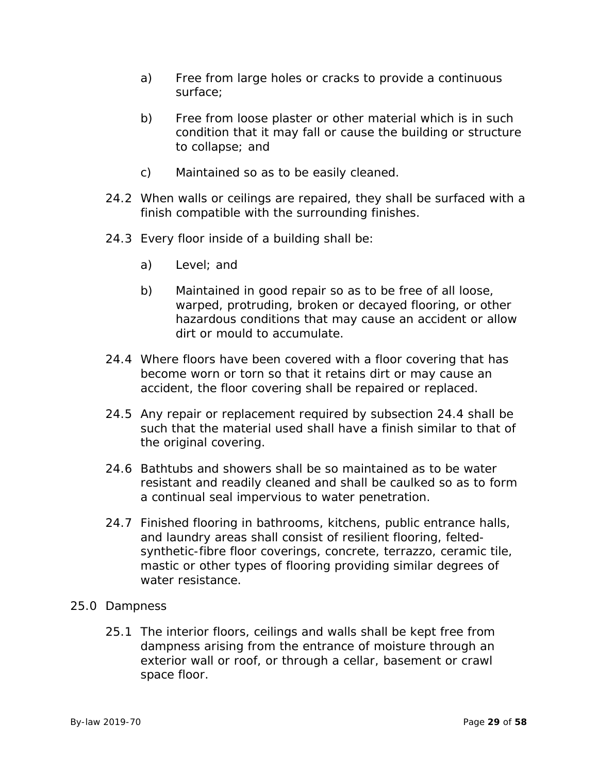- a) Free from large holes or cracks to provide a continuous surface;
- b) Free from loose plaster or other material which is in such condition that it may fall or cause the building or structure to collapse; and
- c) Maintained so as to be easily cleaned.
- 24.2 When walls or ceilings are repaired, they shall be surfaced with a finish compatible with the surrounding finishes.
- 24.3 Every floor inside of a building shall be:
	- a) Level; and
	- b) Maintained in good repair so as to be free of all loose, warped, protruding, broken or decayed flooring, or other hazardous conditions that may cause an accident or allow dirt or mould to accumulate.
- 24.4 Where floors have been covered with a floor covering that has become worn or torn so that it retains dirt or may cause an accident, the floor covering shall be repaired or replaced.
- 24.5 Any repair or replacement required by subsection 24.4 shall be such that the material used shall have a finish similar to that of the original covering.
- 24.6 Bathtubs and showers shall be so maintained as to be water resistant and readily cleaned and shall be caulked so as to form a continual seal impervious to water penetration.
- 24.7 Finished flooring in bathrooms, kitchens, public entrance halls, and laundry areas shall consist of resilient flooring, feltedsynthetic-fibre floor coverings, concrete, terrazzo, ceramic tile, mastic or other types of flooring providing similar degrees of water resistance.

# 25.0 Dampness

25.1 The interior floors, ceilings and walls shall be kept free from dampness arising from the entrance of moisture through an exterior wall or roof, or through a cellar, basement or crawl space floor.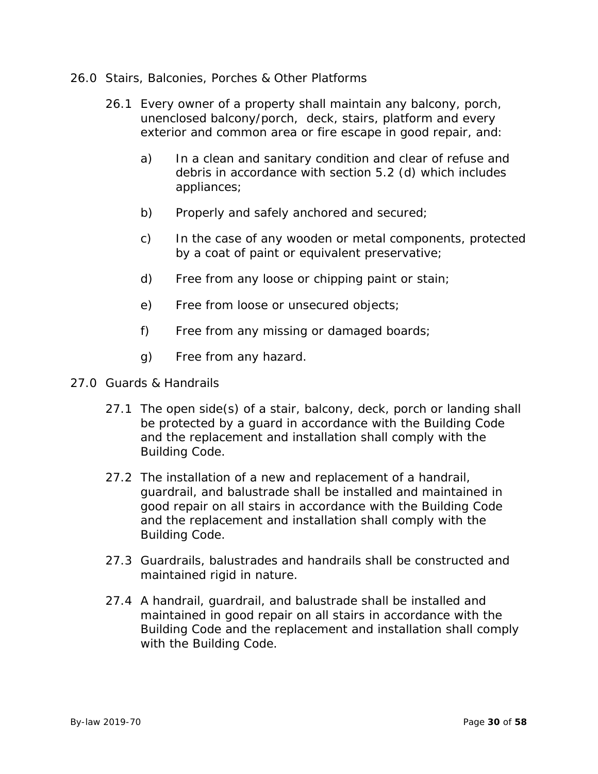- 26.0 Stairs, Balconies, Porches & Other Platforms
	- 26.1 Every owner of a property shall maintain any balcony, porch, unenclosed balcony/porch, deck, stairs, platform and every exterior and common area or fire escape in good repair, and:
		- a) In a clean and sanitary condition and clear of refuse and debris in accordance with section 5.2 (d) which includes appliances;
		- b) Properly and safely anchored and secured;
		- c) In the case of any wooden or metal components, protected by a coat of paint or equivalent preservative;
		- d) Free from any loose or chipping paint or stain;
		- e) Free from loose or unsecured objects;
		- f) Free from any missing or damaged boards;
		- g) Free from any hazard.
- 27.0 Guards & Handrails
	- 27.1 The open side(s) of a stair, balcony, deck, porch or landing shall be protected by a guard in accordance with the Building Code and the replacement and installation shall comply with the Building Code.
	- 27.2 The installation of a new and replacement of a handrail, guardrail, and balustrade shall be installed and maintained in good repair on all stairs in accordance with the Building Code and the replacement and installation shall comply with the Building Code.
	- 27.3 Guardrails, balustrades and handrails shall be constructed and maintained rigid in nature.
	- 27.4 A handrail, guardrail, and balustrade shall be installed and maintained in good repair on all stairs in accordance with the Building Code and the replacement and installation shall comply with the Building Code.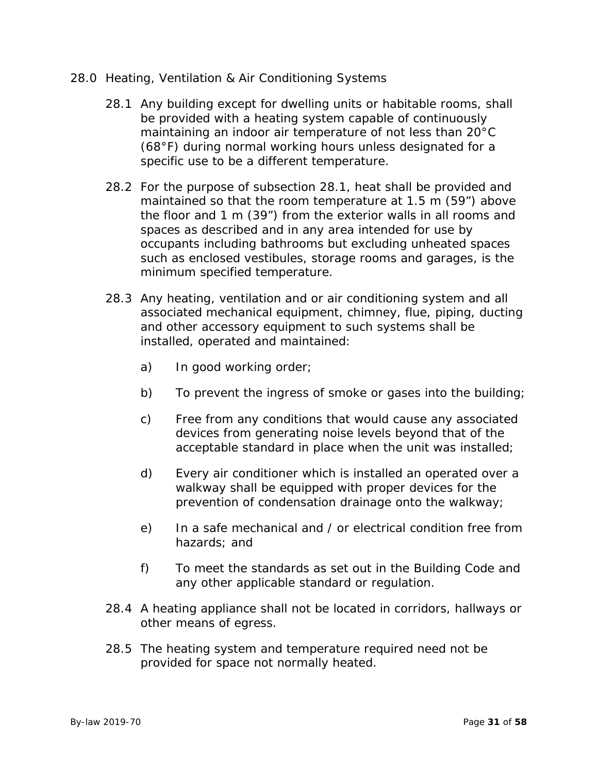- 28.0 Heating, Ventilation & Air Conditioning Systems
	- 28.1 Any building except for dwelling units or habitable rooms, shall be provided with a heating system capable of continuously maintaining an indoor air temperature of not less than 20°C (68°F) during normal working hours unless designated for a specific use to be a different temperature.
	- 28.2 For the purpose of subsection 28.1, heat shall be provided and maintained so that the room temperature at 1.5 m (59") above the floor and 1 m (39") from the exterior walls in all rooms and spaces as described and in any area intended for use by occupants including bathrooms but excluding unheated spaces such as enclosed vestibules, storage rooms and garages, is the minimum specified temperature.
	- 28.3 Any heating, ventilation and or air conditioning system and all associated mechanical equipment, chimney, flue, piping, ducting and other accessory equipment to such systems shall be installed, operated and maintained:
		- a) In good working order;
		- b) To prevent the ingress of smoke or gases into the building;
		- c) Free from any conditions that would cause any associated devices from generating noise levels beyond that of the acceptable standard in place when the unit was installed;
		- d) Every air conditioner which is installed an operated over a walkway shall be equipped with proper devices for the prevention of condensation drainage onto the walkway;
		- e) In a safe mechanical and / or electrical condition free from hazards; and
		- f) To meet the standards as set out in the Building Code and any other applicable standard or regulation.
	- 28.4 A heating appliance shall not be located in corridors, hallways or other means of egress.
	- 28.5 The heating system and temperature required need not be provided for space not normally heated.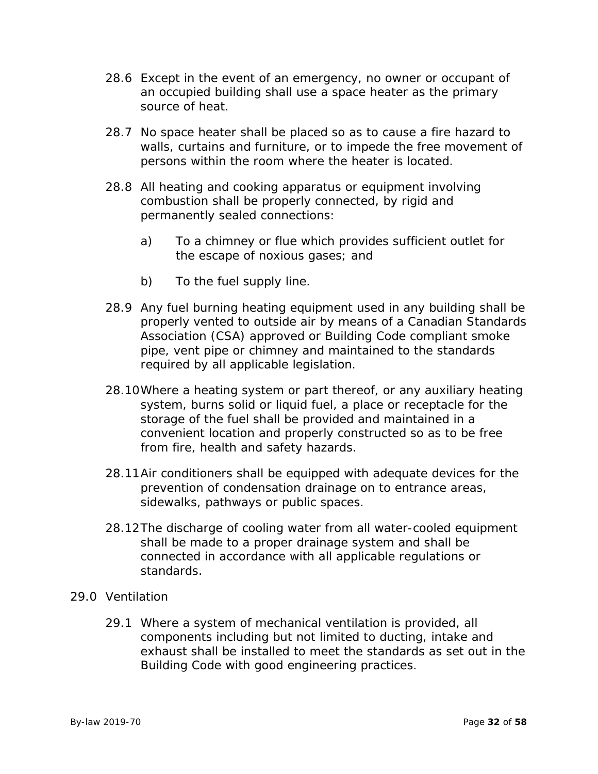- 28.6 Except in the event of an emergency, no owner or occupant of an occupied building shall use a space heater as the primary source of heat.
- 28.7 No space heater shall be placed so as to cause a fire hazard to walls, curtains and furniture, or to impede the free movement of persons within the room where the heater is located.
- 28.8 All heating and cooking apparatus or equipment involving combustion shall be properly connected, by rigid and permanently sealed connections:
	- a) To a chimney or flue which provides sufficient outlet for the escape of noxious gases; and
	- b) To the fuel supply line.
- 28.9 Any fuel burning heating equipment used in any building shall be properly vented to outside air by means of a Canadian Standards Association (CSA) approved or Building Code compliant smoke pipe, vent pipe or chimney and maintained to the standards required by all applicable legislation.
- 28.10Where a heating system or part thereof, or any auxiliary heating system, burns solid or liquid fuel, a place or receptacle for the storage of the fuel shall be provided and maintained in a convenient location and properly constructed so as to be free from fire, health and safety hazards.
- 28.11Air conditioners shall be equipped with adequate devices for the prevention of condensation drainage on to entrance areas, sidewalks, pathways or public spaces.
- 28.12The discharge of cooling water from all water-cooled equipment shall be made to a proper drainage system and shall be connected in accordance with all applicable regulations or standards.
- 29.0 Ventilation
	- 29.1 Where a system of mechanical ventilation is provided, all components including but not limited to ducting, intake and exhaust shall be installed to meet the standards as set out in the Building Code with good engineering practices.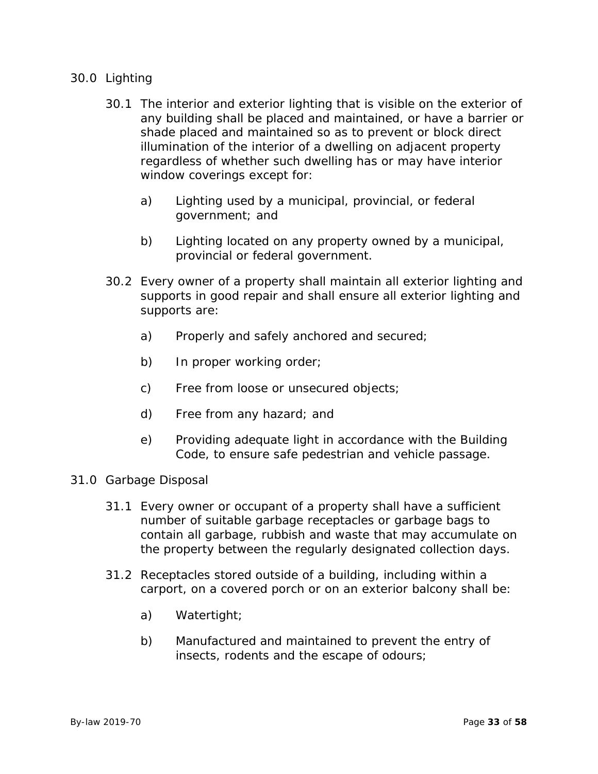# 30.0 Lighting

- 30.1 The interior and exterior lighting that is visible on the exterior of any building shall be placed and maintained, or have a barrier or shade placed and maintained so as to prevent or block direct illumination of the interior of a dwelling on adjacent property regardless of whether such dwelling has or may have interior window coverings except for:
	- a) Lighting used by a municipal, provincial, or federal government; and
	- b) Lighting located on any property owned by a municipal, provincial or federal government.
- 30.2 Every owner of a property shall maintain all exterior lighting and supports in good repair and shall ensure all exterior lighting and supports are:
	- a) Properly and safely anchored and secured;
	- b) In proper working order;
	- c) Free from loose or unsecured objects;
	- d) Free from any hazard; and
	- e) Providing adequate light in accordance with the Building Code, to ensure safe pedestrian and vehicle passage.
- 31.0 Garbage Disposal
	- 31.1 Every owner or occupant of a property shall have a sufficient number of suitable garbage receptacles or garbage bags to contain all garbage, rubbish and waste that may accumulate on the property between the regularly designated collection days.
	- 31.2 Receptacles stored outside of a building, including within a carport, on a covered porch or on an exterior balcony shall be:
		- a) Watertight;
		- b) Manufactured and maintained to prevent the entry of insects, rodents and the escape of odours;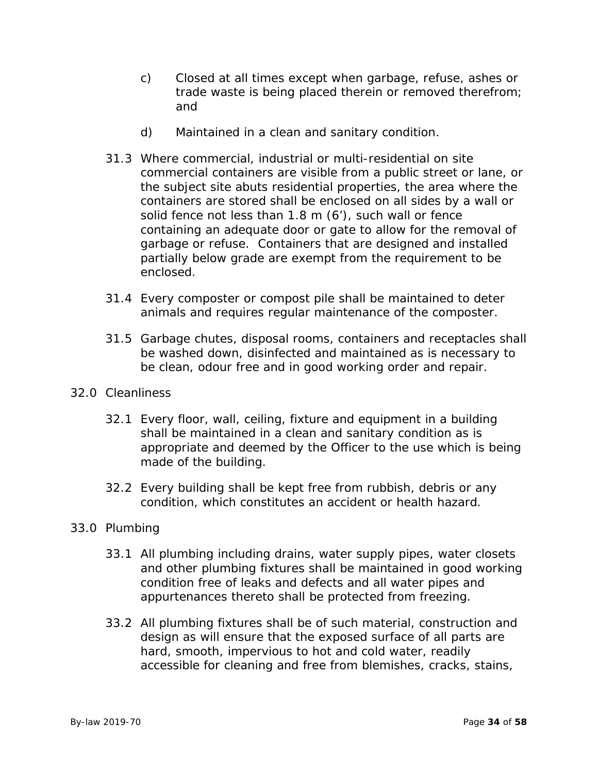- c) Closed at all times except when garbage, refuse, ashes or trade waste is being placed therein or removed therefrom; and
- d) Maintained in a clean and sanitary condition.
- 31.3 Where commercial, industrial or multi-residential on site commercial containers are visible from a public street or lane, or the subject site abuts residential properties, the area where the containers are stored shall be enclosed on all sides by a wall or solid fence not less than 1.8 m (6'), such wall or fence containing an adequate door or gate to allow for the removal of garbage or refuse. Containers that are designed and installed partially below grade are exempt from the requirement to be enclosed.
- 31.4 Every composter or compost pile shall be maintained to deter animals and requires regular maintenance of the composter.
- 31.5 Garbage chutes, disposal rooms, containers and receptacles shall be washed down, disinfected and maintained as is necessary to be clean, odour free and in good working order and repair.
- 32.0 Cleanliness
	- 32.1 Every floor, wall, ceiling, fixture and equipment in a building shall be maintained in a clean and sanitary condition as is appropriate and deemed by the Officer to the use which is being made of the building.
	- 32.2 Every building shall be kept free from rubbish, debris or any condition, which constitutes an accident or health hazard.

# 33.0 Plumbing

- 33.1 All plumbing including drains, water supply pipes, water closets and other plumbing fixtures shall be maintained in good working condition free of leaks and defects and all water pipes and appurtenances thereto shall be protected from freezing.
- 33.2 All plumbing fixtures shall be of such material, construction and design as will ensure that the exposed surface of all parts are hard, smooth, impervious to hot and cold water, readily accessible for cleaning and free from blemishes, cracks, stains,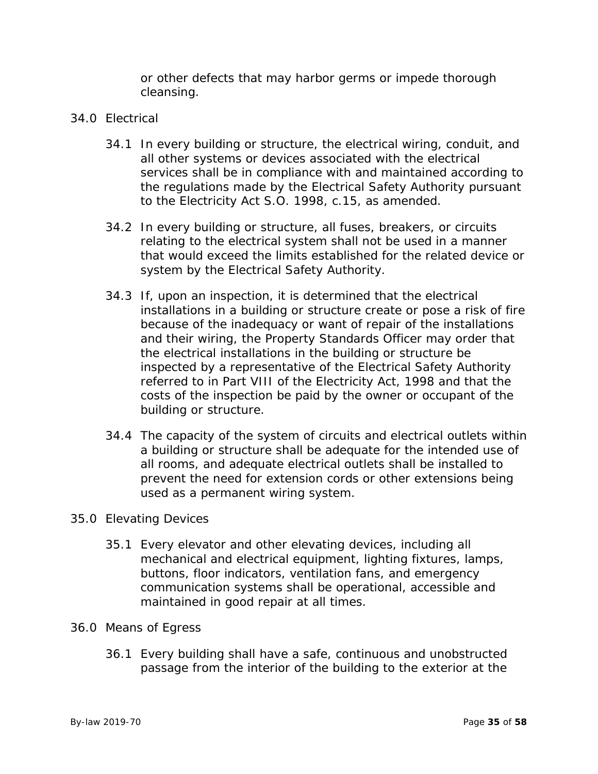or other defects that may harbor germs or impede thorough cleansing.

# 34.0 Electrical

- 34.1 In every building or structure, the electrical wiring, conduit, and all other systems or devices associated with the electrical services shall be in compliance with and maintained according to the regulations made by the Electrical Safety Authority pursuant to the Electricity Act S.O. 1998, c.15, as amended.
- 34.2 In every building or structure, all fuses, breakers, or circuits relating to the electrical system shall not be used in a manner that would exceed the limits established for the related device or system by the Electrical Safety Authority.
- 34.3 If, upon an inspection, it is determined that the electrical installations in a building or structure create or pose a risk of fire because of the inadequacy or want of repair of the installations and their wiring, the Property Standards Officer may order that the electrical installations in the building or structure be inspected by a representative of the Electrical Safety Authority referred to in Part VIII of the Electricity Act, 1998 and that the costs of the inspection be paid by the owner or occupant of the building or structure.
- 34.4 The capacity of the system of circuits and electrical outlets within a building or structure shall be adequate for the intended use of all rooms, and adequate electrical outlets shall be installed to prevent the need for extension cords or other extensions being used as a permanent wiring system.

# 35.0 Elevating Devices

35.1 Every elevator and other elevating devices, including all mechanical and electrical equipment, lighting fixtures, lamps, buttons, floor indicators, ventilation fans, and emergency communication systems shall be operational, accessible and maintained in good repair at all times.

#### 36.0 Means of Egress

36.1 Every building shall have a safe, continuous and unobstructed passage from the interior of the building to the exterior at the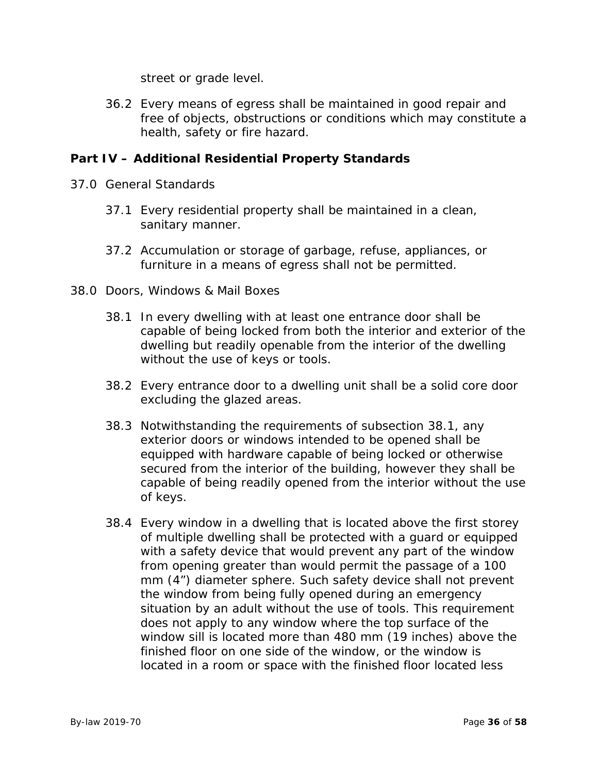street or grade level.

36.2 Every means of egress shall be maintained in good repair and free of objects, obstructions or conditions which may constitute a health, safety or fire hazard.

# **Part IV – Additional Residential Property Standards**

- 37.0 General Standards
	- 37.1 Every residential property shall be maintained in a clean, sanitary manner.
	- 37.2 Accumulation or storage of garbage, refuse, appliances, or furniture in a means of egress shall not be permitted.
- 38.0 Doors, Windows & Mail Boxes
	- 38.1 In every dwelling with at least one entrance door shall be capable of being locked from both the interior and exterior of the dwelling but readily openable from the interior of the dwelling without the use of keys or tools.
	- 38.2 Every entrance door to a dwelling unit shall be a solid core door excluding the glazed areas.
	- 38.3 Notwithstanding the requirements of subsection 38.1, any exterior doors or windows intended to be opened shall be equipped with hardware capable of being locked or otherwise secured from the interior of the building, however they shall be capable of being readily opened from the interior without the use of keys.
	- 38.4 Every window in a dwelling that is located above the first storey of multiple dwelling shall be protected with a guard or equipped with a safety device that would prevent any part of the window from opening greater than would permit the passage of a 100 mm (4") diameter sphere. Such safety device shall not prevent the window from being fully opened during an emergency situation by an adult without the use of tools. This requirement does not apply to any window where the top surface of the window sill is located more than 480 mm (19 inches) above the finished floor on one side of the window, or the window is located in a room or space with the finished floor located less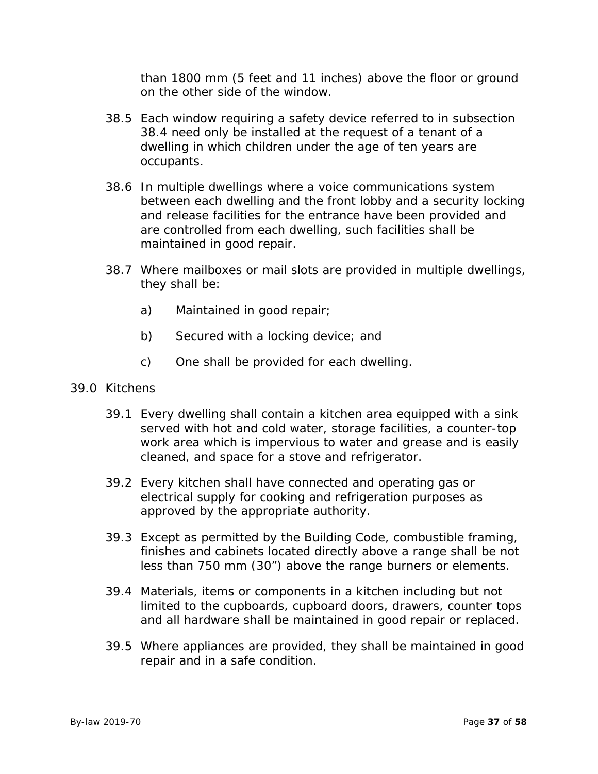than 1800 mm (5 feet and 11 inches) above the floor or ground on the other side of the window.

- 38.5 Each window requiring a safety device referred to in subsection 38.4 need only be installed at the request of a tenant of a dwelling in which children under the age of ten years are occupants.
- 38.6 In multiple dwellings where a voice communications system between each dwelling and the front lobby and a security locking and release facilities for the entrance have been provided and are controlled from each dwelling, such facilities shall be maintained in good repair.
- 38.7 Where mailboxes or mail slots are provided in multiple dwellings, they shall be:
	- a) Maintained in good repair;
	- b) Secured with a locking device; and
	- c) One shall be provided for each dwelling.
- 39.0 Kitchens
	- 39.1 Every dwelling shall contain a kitchen area equipped with a sink served with hot and cold water, storage facilities, a counter-top work area which is impervious to water and grease and is easily cleaned, and space for a stove and refrigerator.
	- 39.2 Every kitchen shall have connected and operating gas or electrical supply for cooking and refrigeration purposes as approved by the appropriate authority.
	- 39.3 Except as permitted by the Building Code, combustible framing, finishes and cabinets located directly above a range shall be not less than 750 mm (30") above the range burners or elements.
	- 39.4 Materials, items or components in a kitchen including but not limited to the cupboards, cupboard doors, drawers, counter tops and all hardware shall be maintained in good repair or replaced.
	- 39.5 Where appliances are provided, they shall be maintained in good repair and in a safe condition.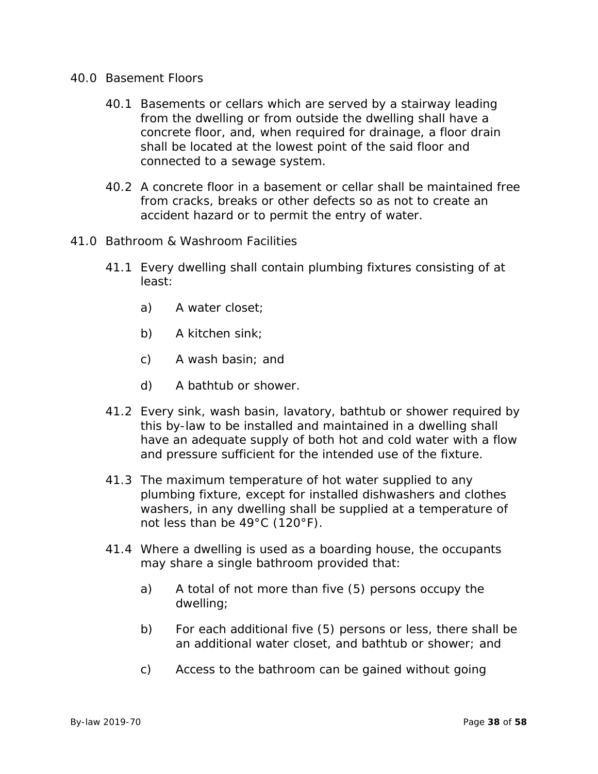- 40.0 Basement Floors
	- 40.1 Basements or cellars which are served by a stairway leading from the dwelling or from outside the dwelling shall have a concrete floor, and, when required for drainage, a floor drain shall be located at the lowest point of the said floor and connected to a sewage system.
	- 40.2 A concrete floor in a basement or cellar shall be maintained free from cracks, breaks or other defects so as not to create an accident hazard or to permit the entry of water.
- 41.0 Bathroom & Washroom Facilities
	- 41.1 Every dwelling shall contain plumbing fixtures consisting of at least:
		- a) A water closet;
		- b) A kitchen sink;
		- c) A wash basin; and
		- d) A bathtub or shower.
	- 41.2 Every sink, wash basin, lavatory, bathtub or shower required by this by-law to be installed and maintained in a dwelling shall have an adequate supply of both hot and cold water with a flow and pressure sufficient for the intended use of the fixture.
	- 41.3 The maximum temperature of hot water supplied to any plumbing fixture, except for installed dishwashers and clothes washers, in any dwelling shall be supplied at a temperature of not less than be 49°C (120°F).
	- 41.4 Where a dwelling is used as a boarding house, the occupants may share a single bathroom provided that:
		- a) A total of not more than five (5) persons occupy the dwelling;
		- b) For each additional five (5) persons or less, there shall be an additional water closet, and bathtub or shower; and
		- c) Access to the bathroom can be gained without going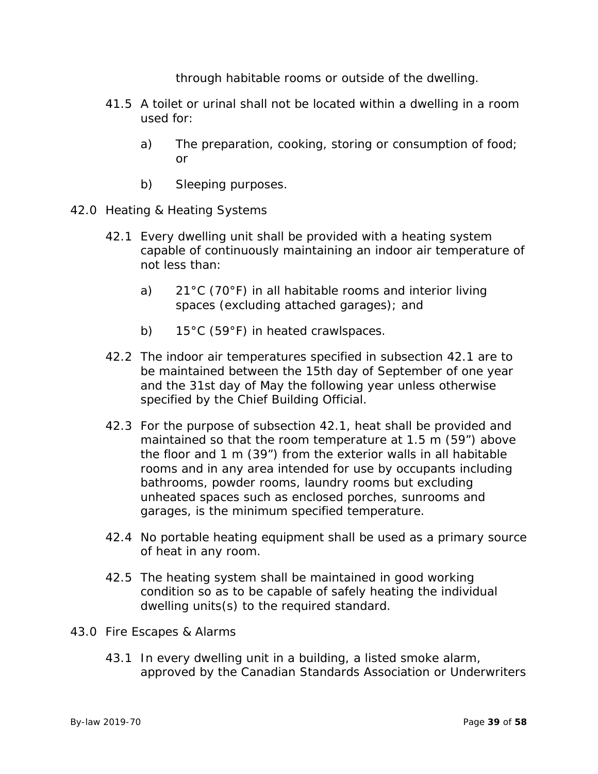through habitable rooms or outside of the dwelling.

- 41.5 A toilet or urinal shall not be located within a dwelling in a room used for:
	- a) The preparation, cooking, storing or consumption of food; or
	- b) Sleeping purposes.
- 42.0 Heating & Heating Systems
	- 42.1 Every dwelling unit shall be provided with a heating system capable of continuously maintaining an indoor air temperature of not less than:
		- a) 21°C (70°F) in all habitable rooms and interior living spaces (excluding attached garages); and
		- b) 15°C (59°F) in heated crawlspaces.
	- 42.2 The indoor air temperatures specified in subsection 42.1 are to be maintained between the 15th day of September of one year and the 31st day of May the following year unless otherwise specified by the Chief Building Official.
	- 42.3 For the purpose of subsection 42.1, heat shall be provided and maintained so that the room temperature at 1.5 m (59") above the floor and 1 m (39") from the exterior walls in all habitable rooms and in any area intended for use by occupants including bathrooms, powder rooms, laundry rooms but excluding unheated spaces such as enclosed porches, sunrooms and garages, is the minimum specified temperature.
	- 42.4 No portable heating equipment shall be used as a primary source of heat in any room.
	- 42.5 The heating system shall be maintained in good working condition so as to be capable of safely heating the individual dwelling units(s) to the required standard.
- 43.0 Fire Escapes & Alarms
	- 43.1 In every dwelling unit in a building, a listed smoke alarm, approved by the Canadian Standards Association or Underwriters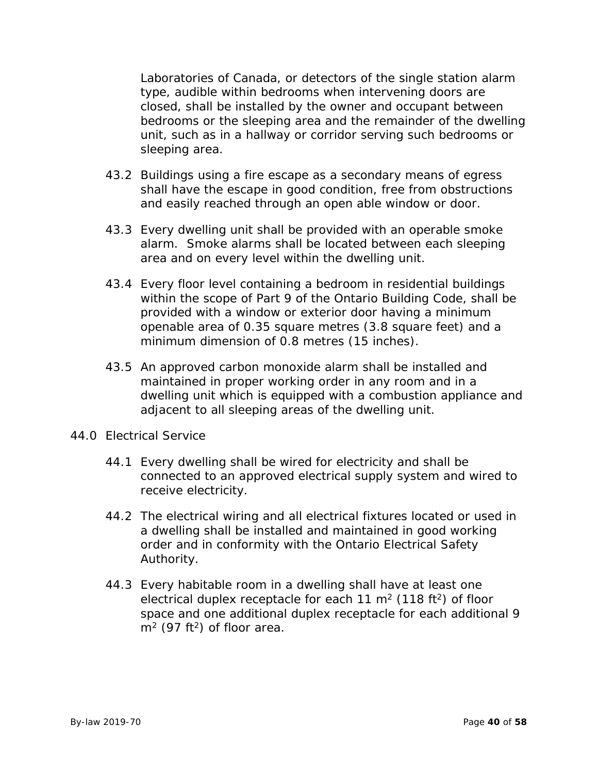Laboratories of Canada, or detectors of the single station alarm type, audible within bedrooms when intervening doors are closed, shall be installed by the owner and occupant between bedrooms or the sleeping area and the remainder of the dwelling unit, such as in a hallway or corridor serving such bedrooms or sleeping area.

- 43.2 Buildings using a fire escape as a secondary means of egress shall have the escape in good condition, free from obstructions and easily reached through an open able window or door.
- 43.3 Every dwelling unit shall be provided with an operable smoke alarm. Smoke alarms shall be located between each sleeping area and on every level within the dwelling unit.
- 43.4 Every floor level containing a bedroom in residential buildings within the scope of Part 9 of the Ontario Building Code, shall be provided with a window or exterior door having a minimum openable area of 0.35 square metres (3.8 square feet) and a minimum dimension of 0.8 metres (15 inches).
- 43.5 An approved carbon monoxide alarm shall be installed and maintained in proper working order in any room and in a dwelling unit which is equipped with a combustion appliance and adjacent to all sleeping areas of the dwelling unit.
- 44.0 Electrical Service
	- 44.1 Every dwelling shall be wired for electricity and shall be connected to an approved electrical supply system and wired to receive electricity.
	- 44.2 The electrical wiring and all electrical fixtures located or used in a dwelling shall be installed and maintained in good working order and in conformity with the Ontario Electrical Safety Authority.
	- 44.3 Every habitable room in a dwelling shall have at least one electrical duplex receptacle for each 11  $m<sup>2</sup>$  (118 ft<sup>2</sup>) of floor space and one additional duplex receptacle for each additional 9  $m<sup>2</sup>$  (97 ft<sup>2</sup>) of floor area.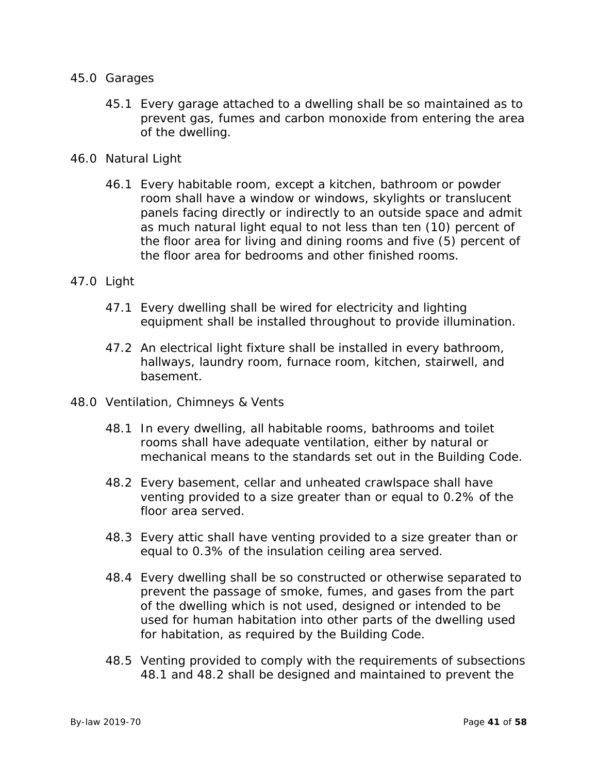#### 45.0 Garages

- 45.1 Every garage attached to a dwelling shall be so maintained as to prevent gas, fumes and carbon monoxide from entering the area of the dwelling.
- 46.0 Natural Light
	- 46.1 Every habitable room, except a kitchen, bathroom or powder room shall have a window or windows, skylights or translucent panels facing directly or indirectly to an outside space and admit as much natural light equal to not less than ten (10) percent of the floor area for living and dining rooms and five (5) percent of the floor area for bedrooms and other finished rooms.

#### 47.0 Light

- 47.1 Every dwelling shall be wired for electricity and lighting equipment shall be installed throughout to provide illumination.
- 47.2 An electrical light fixture shall be installed in every bathroom, hallways, laundry room, furnace room, kitchen, stairwell, and basement.
- 48.0 Ventilation, Chimneys & Vents
	- 48.1 In every dwelling, all habitable rooms, bathrooms and toilet rooms shall have adequate ventilation, either by natural or mechanical means to the standards set out in the Building Code.
	- 48.2 Every basement, cellar and unheated crawlspace shall have venting provided to a size greater than or equal to 0.2% of the floor area served.
	- 48.3 Every attic shall have venting provided to a size greater than or equal to 0.3% of the insulation ceiling area served.
	- 48.4 Every dwelling shall be so constructed or otherwise separated to prevent the passage of smoke, fumes, and gases from the part of the dwelling which is not used, designed or intended to be used for human habitation into other parts of the dwelling used for habitation, as required by the Building Code.
	- 48.5 Venting provided to comply with the requirements of subsections 48.1 and 48.2 shall be designed and maintained to prevent the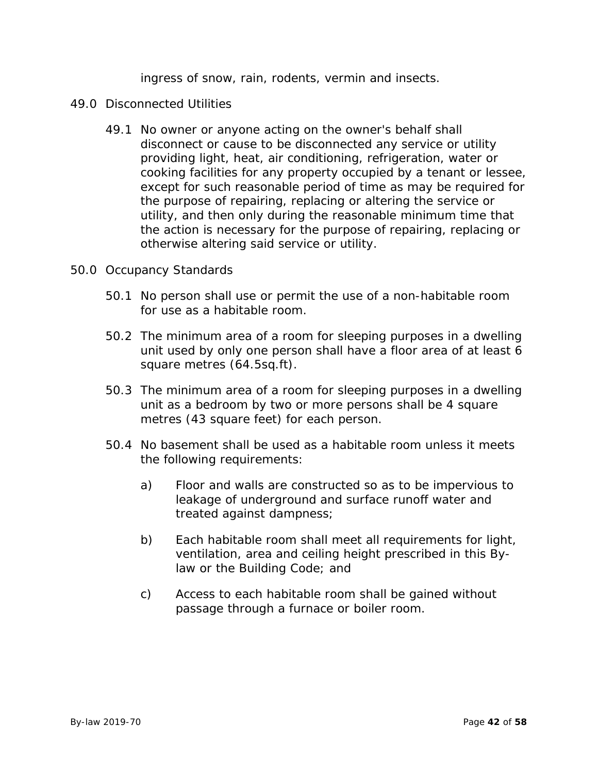ingress of snow, rain, rodents, vermin and insects.

- 49.0 Disconnected Utilities
	- 49.1 No owner or anyone acting on the owner's behalf shall disconnect or cause to be disconnected any service or utility providing light, heat, air conditioning, refrigeration, water or cooking facilities for any property occupied by a tenant or lessee, except for such reasonable period of time as may be required for the purpose of repairing, replacing or altering the service or utility, and then only during the reasonable minimum time that the action is necessary for the purpose of repairing, replacing or otherwise altering said service or utility.
- 50.0 Occupancy Standards
	- 50.1 No person shall use or permit the use of a non-habitable room for use as a habitable room.
	- 50.2 The minimum area of a room for sleeping purposes in a dwelling unit used by only one person shall have a floor area of at least 6 square metres (64.5sq.ft).
	- 50.3 The minimum area of a room for sleeping purposes in a dwelling unit as a bedroom by two or more persons shall be 4 square metres (43 square feet) for each person.
	- 50.4 No basement shall be used as a habitable room unless it meets the following requirements:
		- a) Floor and walls are constructed so as to be impervious to leakage of underground and surface runoff water and treated against dampness;
		- b) Each habitable room shall meet all requirements for light, ventilation, area and ceiling height prescribed in this Bylaw or the Building Code; and
		- c) Access to each habitable room shall be gained without passage through a furnace or boiler room.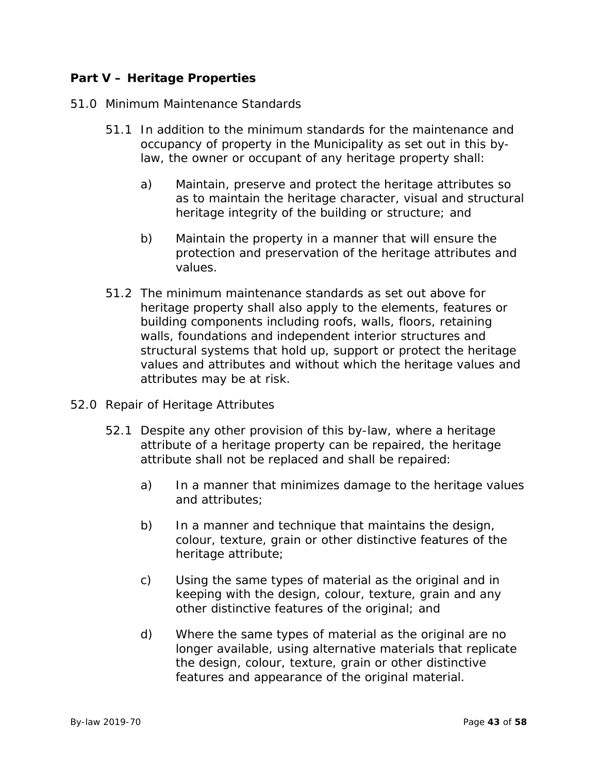# **Part V – Heritage Properties**

## 51.0 Minimum Maintenance Standards

- 51.1 In addition to the minimum standards for the maintenance and occupancy of property in the Municipality as set out in this bylaw, the owner or occupant of any heritage property shall:
	- a) Maintain, preserve and protect the heritage attributes so as to maintain the heritage character, visual and structural heritage integrity of the building or structure; and
	- b) Maintain the property in a manner that will ensure the protection and preservation of the heritage attributes and values.
- 51.2 The minimum maintenance standards as set out above for heritage property shall also apply to the elements, features or building components including roofs, walls, floors, retaining walls, foundations and independent interior structures and structural systems that hold up, support or protect the heritage values and attributes and without which the heritage values and attributes may be at risk.
- 52.0 Repair of Heritage Attributes
	- 52.1 Despite any other provision of this by-law, where a heritage attribute of a heritage property can be repaired, the heritage attribute shall not be replaced and shall be repaired:
		- a) In a manner that minimizes damage to the heritage values and attributes;
		- b) In a manner and technique that maintains the design, colour, texture, grain or other distinctive features of the heritage attribute;
		- c) Using the same types of material as the original and in keeping with the design, colour, texture, grain and any other distinctive features of the original; and
		- d) Where the same types of material as the original are no longer available, using alternative materials that replicate the design, colour, texture, grain or other distinctive features and appearance of the original material.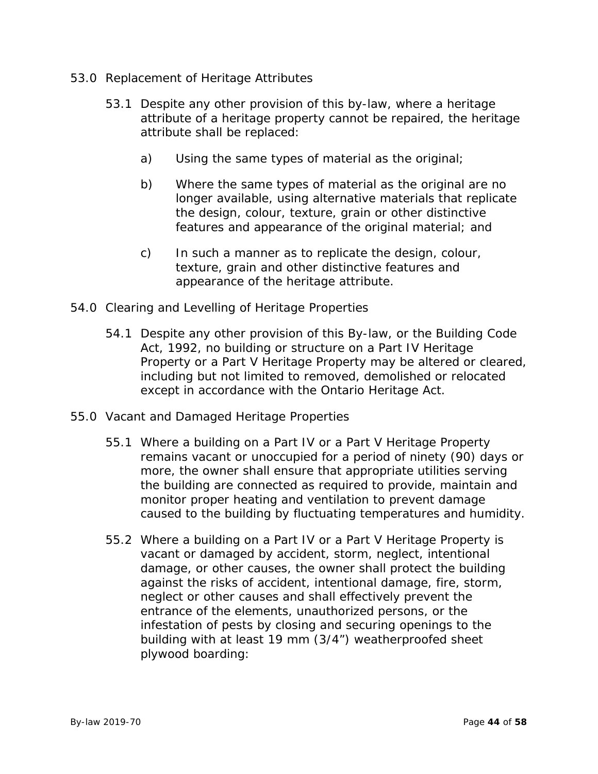- 53.0 Replacement of Heritage Attributes
	- 53.1 Despite any other provision of this by-law, where a heritage attribute of a heritage property cannot be repaired, the heritage attribute shall be replaced:
		- a) Using the same types of material as the original;
		- b) Where the same types of material as the original are no longer available, using alternative materials that replicate the design, colour, texture, grain or other distinctive features and appearance of the original material; and
		- c) In such a manner as to replicate the design, colour, texture, grain and other distinctive features and appearance of the heritage attribute.
- 54.0 Clearing and Levelling of Heritage Properties
	- 54.1 Despite any other provision of this By-law, or the Building Code Act, 1992, no building or structure on a Part IV Heritage Property or a Part V Heritage Property may be altered or cleared, including but not limited to removed, demolished or relocated except in accordance with the Ontario Heritage Act.
- 55.0 Vacant and Damaged Heritage Properties
	- 55.1 Where a building on a Part IV or a Part V Heritage Property remains vacant or unoccupied for a period of ninety (90) days or more, the owner shall ensure that appropriate utilities serving the building are connected as required to provide, maintain and monitor proper heating and ventilation to prevent damage caused to the building by fluctuating temperatures and humidity.
	- 55.2 Where a building on a Part IV or a Part V Heritage Property is vacant or damaged by accident, storm, neglect, intentional damage, or other causes, the owner shall protect the building against the risks of accident, intentional damage, fire, storm, neglect or other causes and shall effectively prevent the entrance of the elements, unauthorized persons, or the infestation of pests by closing and securing openings to the building with at least 19 mm (3/4") weatherproofed sheet plywood boarding: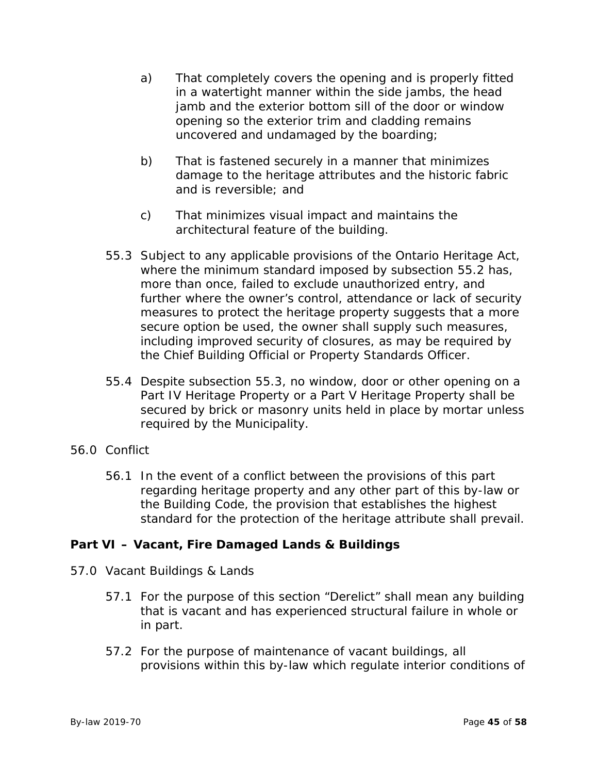- a) That completely covers the opening and is properly fitted in a watertight manner within the side jambs, the head jamb and the exterior bottom sill of the door or window opening so the exterior trim and cladding remains uncovered and undamaged by the boarding;
- b) That is fastened securely in a manner that minimizes damage to the heritage attributes and the historic fabric and is reversible; and
- c) That minimizes visual impact and maintains the architectural feature of the building.
- 55.3 Subject to any applicable provisions of the Ontario Heritage Act, where the minimum standard imposed by subsection 55.2 has, more than once, failed to exclude unauthorized entry, and further where the owner's control, attendance or lack of security measures to protect the heritage property suggests that a more secure option be used, the owner shall supply such measures, including improved security of closures, as may be required by the Chief Building Official or Property Standards Officer.
- 55.4 Despite subsection 55.3, no window, door or other opening on a Part IV Heritage Property or a Part V Heritage Property shall be secured by brick or masonry units held in place by mortar unless required by the Municipality.
- 56.0 Conflict
	- 56.1 In the event of a conflict between the provisions of this part regarding heritage property and any other part of this by-law or the Building Code, the provision that establishes the highest standard for the protection of the heritage attribute shall prevail.

# **Part VI – Vacant, Fire Damaged Lands & Buildings**

- 57.0 Vacant Buildings & Lands
	- 57.1 For the purpose of this section "Derelict" shall mean any building that is vacant and has experienced structural failure in whole or in part.
	- 57.2 For the purpose of maintenance of vacant buildings, all provisions within this by-law which regulate interior conditions of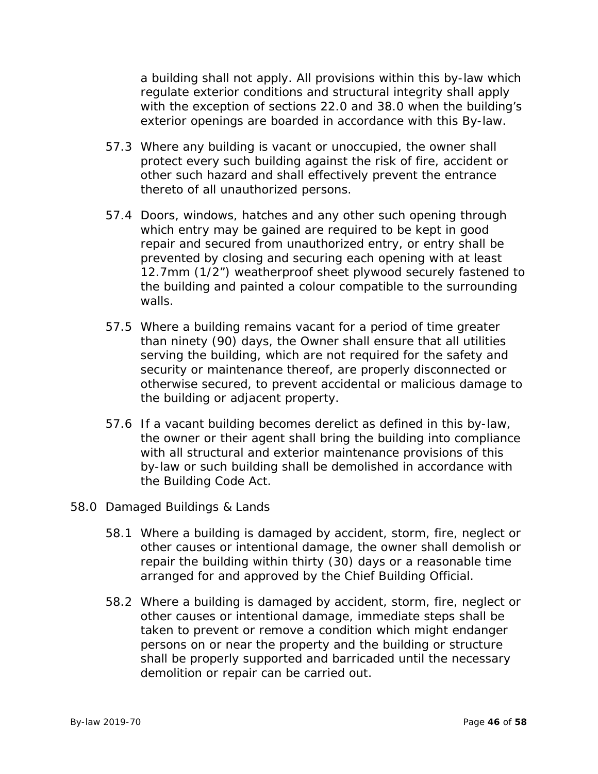a building shall not apply. All provisions within this by-law which regulate exterior conditions and structural integrity shall apply with the exception of sections 22.0 and 38.0 when the building's exterior openings are boarded in accordance with this By-law.

- 57.3 Where any building is vacant or unoccupied, the owner shall protect every such building against the risk of fire, accident or other such hazard and shall effectively prevent the entrance thereto of all unauthorized persons.
- 57.4 Doors, windows, hatches and any other such opening through which entry may be gained are required to be kept in good repair and secured from unauthorized entry, or entry shall be prevented by closing and securing each opening with at least 12.7mm (1/2") weatherproof sheet plywood securely fastened to the building and painted a colour compatible to the surrounding walls.
- 57.5 Where a building remains vacant for a period of time greater than ninety (90) days, the Owner shall ensure that all utilities serving the building, which are not required for the safety and security or maintenance thereof, are properly disconnected or otherwise secured, to prevent accidental or malicious damage to the building or adjacent property.
- 57.6 If a vacant building becomes derelict as defined in this by-law, the owner or their agent shall bring the building into compliance with all structural and exterior maintenance provisions of this by-law or such building shall be demolished in accordance with the Building Code Act.
- 58.0 Damaged Buildings & Lands
	- 58.1 Where a building is damaged by accident, storm, fire, neglect or other causes or intentional damage, the owner shall demolish or repair the building within thirty (30) days or a reasonable time arranged for and approved by the Chief Building Official.
	- 58.2 Where a building is damaged by accident, storm, fire, neglect or other causes or intentional damage, immediate steps shall be taken to prevent or remove a condition which might endanger persons on or near the property and the building or structure shall be properly supported and barricaded until the necessary demolition or repair can be carried out.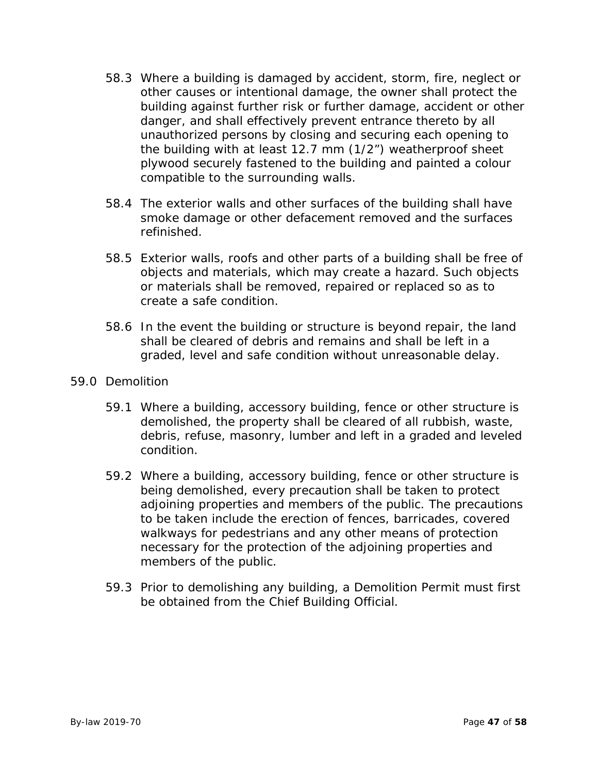- 58.3 Where a building is damaged by accident, storm, fire, neglect or other causes or intentional damage, the owner shall protect the building against further risk or further damage, accident or other danger, and shall effectively prevent entrance thereto by all unauthorized persons by closing and securing each opening to the building with at least 12.7 mm (1/2") weatherproof sheet plywood securely fastened to the building and painted a colour compatible to the surrounding walls.
- 58.4 The exterior walls and other surfaces of the building shall have smoke damage or other defacement removed and the surfaces refinished.
- 58.5 Exterior walls, roofs and other parts of a building shall be free of objects and materials, which may create a hazard. Such objects or materials shall be removed, repaired or replaced so as to create a safe condition.
- 58.6 In the event the building or structure is beyond repair, the land shall be cleared of debris and remains and shall be left in a graded, level and safe condition without unreasonable delay.
- 59.0 Demolition
	- 59.1 Where a building, accessory building, fence or other structure is demolished, the property shall be cleared of all rubbish, waste, debris, refuse, masonry, lumber and left in a graded and leveled condition.
	- 59.2 Where a building, accessory building, fence or other structure is being demolished, every precaution shall be taken to protect adjoining properties and members of the public. The precautions to be taken include the erection of fences, barricades, covered walkways for pedestrians and any other means of protection necessary for the protection of the adjoining properties and members of the public.
	- 59.3 Prior to demolishing any building, a Demolition Permit must first be obtained from the Chief Building Official.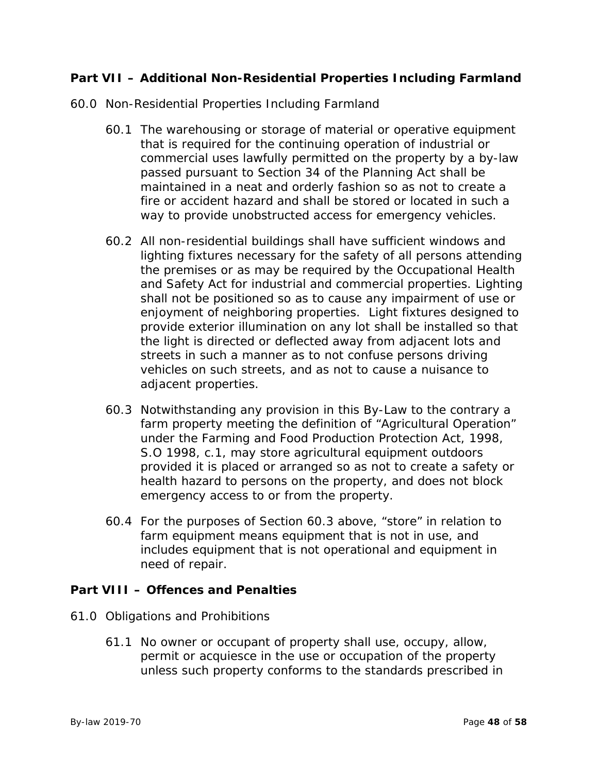# **Part VII – Additional Non-Residential Properties Including Farmland**

- 60.0 Non-Residential Properties Including Farmland
	- 60.1 The warehousing or storage of material or operative equipment that is required for the continuing operation of industrial or commercial uses lawfully permitted on the property by a by-law passed pursuant to Section 34 of the Planning Act shall be maintained in a neat and orderly fashion so as not to create a fire or accident hazard and shall be stored or located in such a way to provide unobstructed access for emergency vehicles.
	- 60.2 All non-residential buildings shall have sufficient windows and lighting fixtures necessary for the safety of all persons attending the premises or as may be required by the Occupational Health and Safety Act for industrial and commercial properties. Lighting shall not be positioned so as to cause any impairment of use or enjoyment of neighboring properties. Light fixtures designed to provide exterior illumination on any lot shall be installed so that the light is directed or deflected away from adjacent lots and streets in such a manner as to not confuse persons driving vehicles on such streets, and as not to cause a nuisance to adjacent properties.
	- 60.3 Notwithstanding any provision in this By-Law to the contrary a farm property meeting the definition of "Agricultural Operation" under the Farming and Food Production Protection Act, 1998, S.O 1998, c.1, may store agricultural equipment outdoors provided it is placed or arranged so as not to create a safety or health hazard to persons on the property, and does not block emergency access to or from the property.
	- 60.4 For the purposes of Section 60.3 above, "store" in relation to farm equipment means equipment that is not in use, and includes equipment that is not operational and equipment in need of repair.

# **Part VIII – Offences and Penalties**

- 61.0 Obligations and Prohibitions
	- 61.1 No owner or occupant of property shall use, occupy, allow, permit or acquiesce in the use or occupation of the property unless such property conforms to the standards prescribed in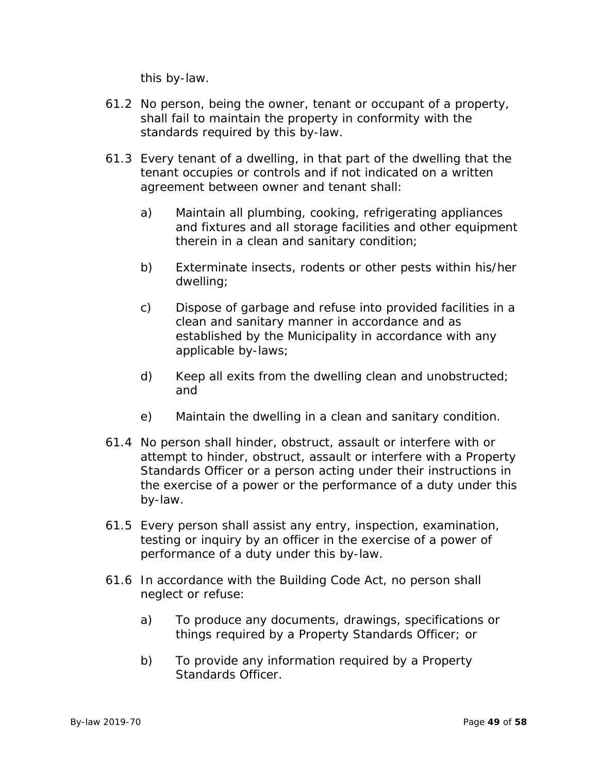this by-law.

- 61.2 No person, being the owner, tenant or occupant of a property, shall fail to maintain the property in conformity with the standards required by this by-law.
- 61.3 Every tenant of a dwelling, in that part of the dwelling that the tenant occupies or controls and if not indicated on a written agreement between owner and tenant shall:
	- a) Maintain all plumbing, cooking, refrigerating appliances and fixtures and all storage facilities and other equipment therein in a clean and sanitary condition;
	- b) Exterminate insects, rodents or other pests within his/her dwelling;
	- c) Dispose of garbage and refuse into provided facilities in a clean and sanitary manner in accordance and as established by the Municipality in accordance with any applicable by-laws;
	- d) Keep all exits from the dwelling clean and unobstructed; and
	- e) Maintain the dwelling in a clean and sanitary condition.
- 61.4 No person shall hinder, obstruct, assault or interfere with or attempt to hinder, obstruct, assault or interfere with a Property Standards Officer or a person acting under their instructions in the exercise of a power or the performance of a duty under this by-law.
- 61.5 Every person shall assist any entry, inspection, examination, testing or inquiry by an officer in the exercise of a power of performance of a duty under this by-law.
- 61.6 In accordance with the Building Code Act, no person shall neglect or refuse:
	- a) To produce any documents, drawings, specifications or things required by a Property Standards Officer; or
	- b) To provide any information required by a Property Standards Officer.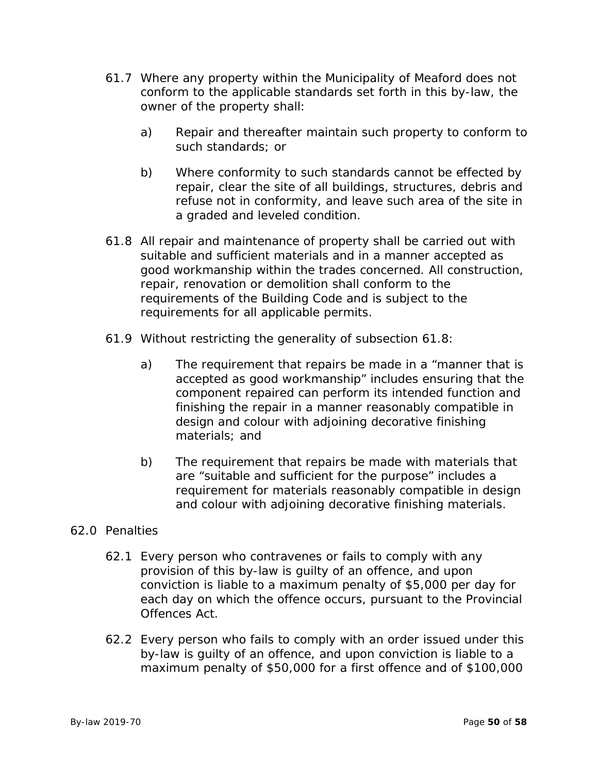- 61.7 Where any property within the Municipality of Meaford does not conform to the applicable standards set forth in this by-law, the owner of the property shall:
	- a) Repair and thereafter maintain such property to conform to such standards; or
	- b) Where conformity to such standards cannot be effected by repair, clear the site of all buildings, structures, debris and refuse not in conformity, and leave such area of the site in a graded and leveled condition.
- 61.8 All repair and maintenance of property shall be carried out with suitable and sufficient materials and in a manner accepted as good workmanship within the trades concerned. All construction, repair, renovation or demolition shall conform to the requirements of the Building Code and is subject to the requirements for all applicable permits.
- 61.9 Without restricting the generality of subsection 61.8:
	- a) The requirement that repairs be made in a "manner that is accepted as good workmanship" includes ensuring that the component repaired can perform its intended function and finishing the repair in a manner reasonably compatible in design and colour with adjoining decorative finishing materials; and
	- b) The requirement that repairs be made with materials that are "suitable and sufficient for the purpose" includes a requirement for materials reasonably compatible in design and colour with adjoining decorative finishing materials.

# 62.0 Penalties

- 62.1 Every person who contravenes or fails to comply with any provision of this by-law is guilty of an offence, and upon conviction is liable to a maximum penalty of \$5,000 per day for each day on which the offence occurs, pursuant to the Provincial Offences Act.
- 62.2 Every person who fails to comply with an order issued under this by-law is guilty of an offence, and upon conviction is liable to a maximum penalty of \$50,000 for a first offence and of \$100,000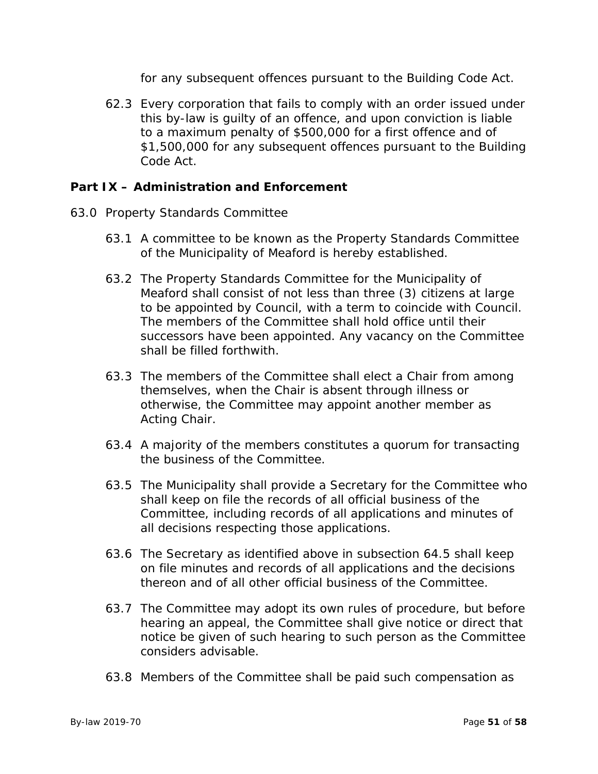for any subsequent offences pursuant to the Building Code Act.

62.3 Every corporation that fails to comply with an order issued under this by-law is guilty of an offence, and upon conviction is liable to a maximum penalty of \$500,000 for a first offence and of \$1,500,000 for any subsequent offences pursuant to the Building Code Act.

# **Part IX – Administration and Enforcement**

- 63.0 Property Standards Committee
	- 63.1 A committee to be known as the Property Standards Committee of the Municipality of Meaford is hereby established.
	- 63.2 The Property Standards Committee for the Municipality of Meaford shall consist of not less than three (3) citizens at large to be appointed by Council, with a term to coincide with Council. The members of the Committee shall hold office until their successors have been appointed. Any vacancy on the Committee shall be filled forthwith.
	- 63.3 The members of the Committee shall elect a Chair from among themselves, when the Chair is absent through illness or otherwise, the Committee may appoint another member as Acting Chair.
	- 63.4 A majority of the members constitutes a quorum for transacting the business of the Committee.
	- 63.5 The Municipality shall provide a Secretary for the Committee who shall keep on file the records of all official business of the Committee, including records of all applications and minutes of all decisions respecting those applications.
	- 63.6 The Secretary as identified above in subsection 64.5 shall keep on file minutes and records of all applications and the decisions thereon and of all other official business of the Committee.
	- 63.7 The Committee may adopt its own rules of procedure, but before hearing an appeal, the Committee shall give notice or direct that notice be given of such hearing to such person as the Committee considers advisable.
	- 63.8 Members of the Committee shall be paid such compensation as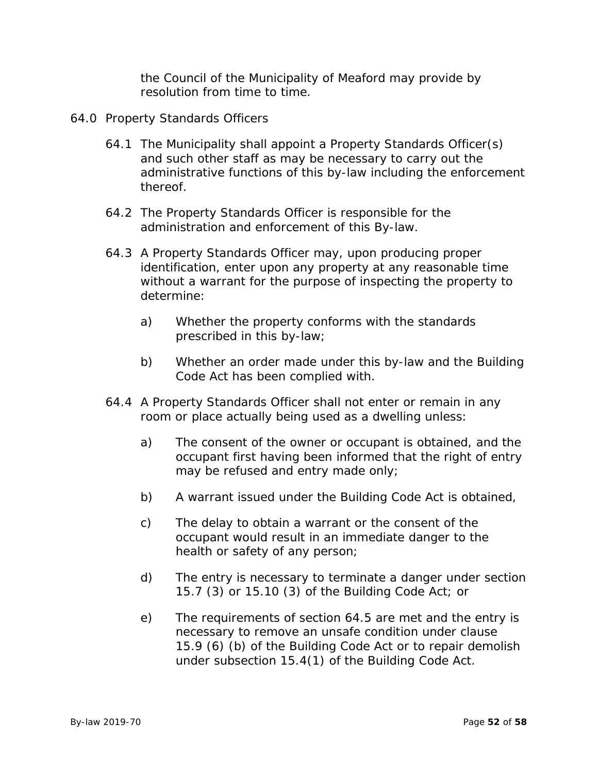the Council of the Municipality of Meaford may provide by resolution from time to time.

- 64.0 Property Standards Officers
	- 64.1 The Municipality shall appoint a Property Standards Officer(s) and such other staff as may be necessary to carry out the administrative functions of this by-law including the enforcement thereof.
	- 64.2 The Property Standards Officer is responsible for the administration and enforcement of this By-law.
	- 64.3 A Property Standards Officer may, upon producing proper identification, enter upon any property at any reasonable time without a warrant for the purpose of inspecting the property to determine:
		- a) Whether the property conforms with the standards prescribed in this by-law;
		- b) Whether an order made under this by-law and the Building Code Act has been complied with.
	- 64.4 A Property Standards Officer shall not enter or remain in any room or place actually being used as a dwelling unless:
		- a) The consent of the owner or occupant is obtained, and the occupant first having been informed that the right of entry may be refused and entry made only;
		- b) A warrant issued under the Building Code Act is obtained,
		- c) The delay to obtain a warrant or the consent of the occupant would result in an immediate danger to the health or safety of any person;
		- d) The entry is necessary to terminate a danger under section 15.7 (3) or 15.10 (3) of the Building Code Act; or
		- e) The requirements of section 64.5 are met and the entry is necessary to remove an unsafe condition under clause 15.9 (6) (b) of the Building Code Act or to repair demolish under subsection 15.4(1) of the Building Code Act.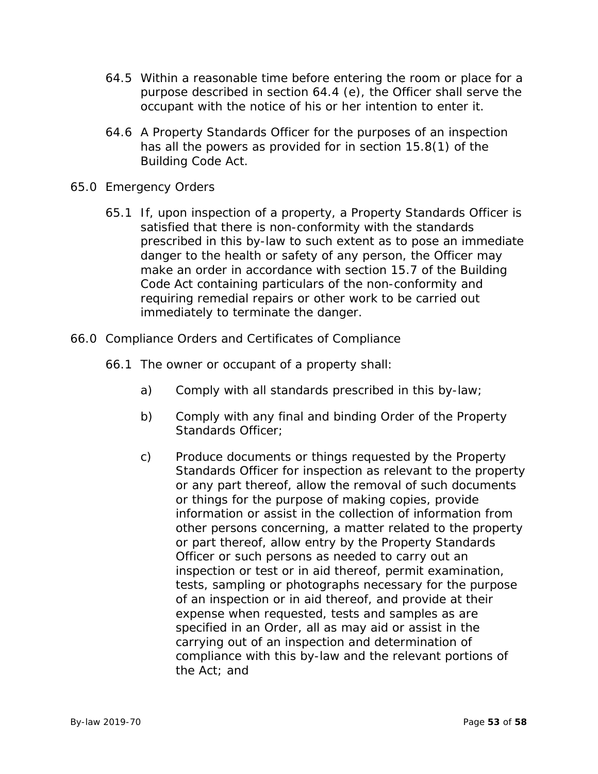- 64.5 Within a reasonable time before entering the room or place for a purpose described in section 64.4 (e), the Officer shall serve the occupant with the notice of his or her intention to enter it.
- 64.6 A Property Standards Officer for the purposes of an inspection has all the powers as provided for in section 15.8(1) of the Building Code Act.
- 65.0 Emergency Orders
	- 65.1 If, upon inspection of a property, a Property Standards Officer is satisfied that there is non-conformity with the standards prescribed in this by-law to such extent as to pose an immediate danger to the health or safety of any person, the Officer may make an order in accordance with section 15.7 of the Building Code Act containing particulars of the non-conformity and requiring remedial repairs or other work to be carried out immediately to terminate the danger.
- 66.0 Compliance Orders and Certificates of Compliance
	- 66.1 The owner or occupant of a property shall:
		- a) Comply with all standards prescribed in this by-law;
		- b) Comply with any final and binding Order of the Property Standards Officer:
		- c) Produce documents or things requested by the Property Standards Officer for inspection as relevant to the property or any part thereof, allow the removal of such documents or things for the purpose of making copies, provide information or assist in the collection of information from other persons concerning, a matter related to the property or part thereof, allow entry by the Property Standards Officer or such persons as needed to carry out an inspection or test or in aid thereof, permit examination, tests, sampling or photographs necessary for the purpose of an inspection or in aid thereof, and provide at their expense when requested, tests and samples as are specified in an Order, all as may aid or assist in the carrying out of an inspection and determination of compliance with this by-law and the relevant portions of the Act; and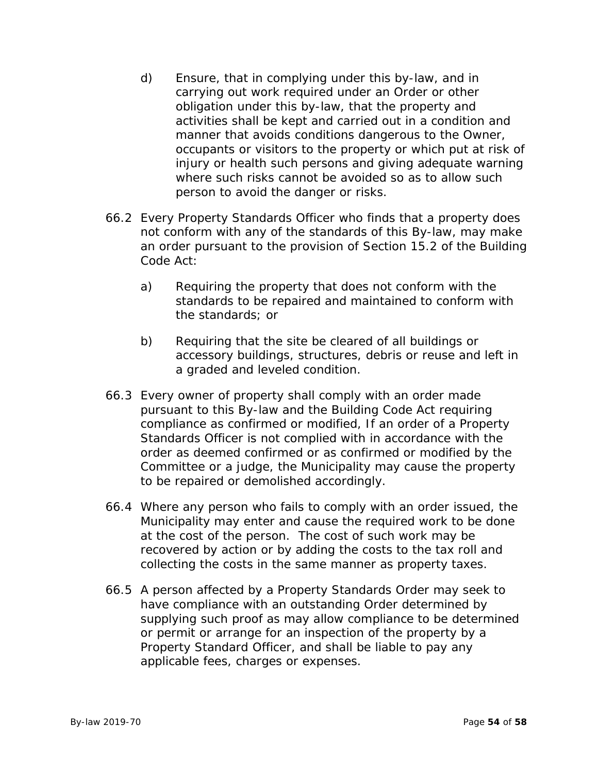- d) Ensure, that in complying under this by-law, and in carrying out work required under an Order or other obligation under this by-law, that the property and activities shall be kept and carried out in a condition and manner that avoids conditions dangerous to the Owner, occupants or visitors to the property or which put at risk of injury or health such persons and giving adequate warning where such risks cannot be avoided so as to allow such person to avoid the danger or risks.
- 66.2 Every Property Standards Officer who finds that a property does not conform with any of the standards of this By-law, may make an order pursuant to the provision of Section 15.2 of the Building Code Act:
	- a) Requiring the property that does not conform with the standards to be repaired and maintained to conform with the standards; or
	- b) Requiring that the site be cleared of all buildings or accessory buildings, structures, debris or reuse and left in a graded and leveled condition.
- 66.3 Every owner of property shall comply with an order made pursuant to this By-law and the Building Code Act requiring compliance as confirmed or modified, If an order of a Property Standards Officer is not complied with in accordance with the order as deemed confirmed or as confirmed or modified by the Committee or a judge, the Municipality may cause the property to be repaired or demolished accordingly.
- 66.4 Where any person who fails to comply with an order issued, the Municipality may enter and cause the required work to be done at the cost of the person. The cost of such work may be recovered by action or by adding the costs to the tax roll and collecting the costs in the same manner as property taxes.
- 66.5 A person affected by a Property Standards Order may seek to have compliance with an outstanding Order determined by supplying such proof as may allow compliance to be determined or permit or arrange for an inspection of the property by a Property Standard Officer, and shall be liable to pay any applicable fees, charges or expenses.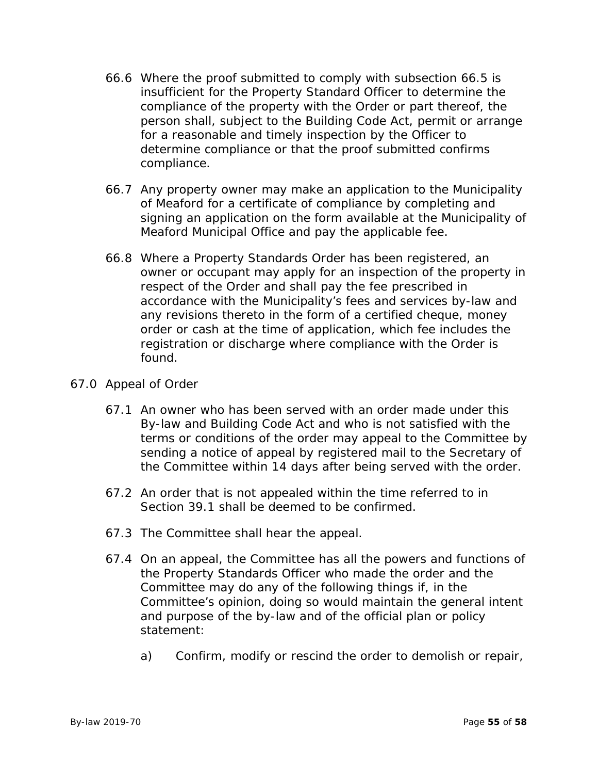- 66.6 Where the proof submitted to comply with subsection 66.5 is insufficient for the Property Standard Officer to determine the compliance of the property with the Order or part thereof, the person shall, subject to the Building Code Act, permit or arrange for a reasonable and timely inspection by the Officer to determine compliance or that the proof submitted confirms compliance.
- 66.7 Any property owner may make an application to the Municipality of Meaford for a certificate of compliance by completing and signing an application on the form available at the Municipality of Meaford Municipal Office and pay the applicable fee.
- 66.8 Where a Property Standards Order has been registered, an owner or occupant may apply for an inspection of the property in respect of the Order and shall pay the fee prescribed in accordance with the Municipality's fees and services by-law and any revisions thereto in the form of a certified cheque, money order or cash at the time of application, which fee includes the registration or discharge where compliance with the Order is found.

# 67.0 Appeal of Order

- 67.1 An owner who has been served with an order made under this By-law and Building Code Act and who is not satisfied with the terms or conditions of the order may appeal to the Committee by sending a notice of appeal by registered mail to the Secretary of the Committee within 14 days after being served with the order.
- 67.2 An order that is not appealed within the time referred to in Section 39.1 shall be deemed to be confirmed.
- 67.3 The Committee shall hear the appeal.
- 67.4 On an appeal, the Committee has all the powers and functions of the Property Standards Officer who made the order and the Committee may do any of the following things if, in the Committee's opinion, doing so would maintain the general intent and purpose of the by-law and of the official plan or policy statement:
	- a) Confirm, modify or rescind the order to demolish or repair,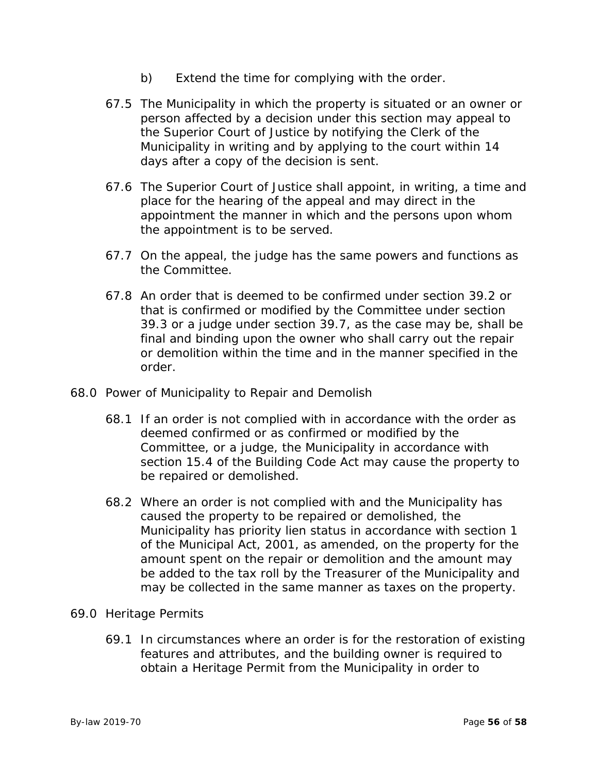- b) Extend the time for complying with the order.
- 67.5 The Municipality in which the property is situated or an owner or person affected by a decision under this section may appeal to the Superior Court of Justice by notifying the Clerk of the Municipality in writing and by applying to the court within 14 days after a copy of the decision is sent.
- 67.6 The Superior Court of Justice shall appoint, in writing, a time and place for the hearing of the appeal and may direct in the appointment the manner in which and the persons upon whom the appointment is to be served.
- 67.7 On the appeal, the judge has the same powers and functions as the Committee.
- 67.8 An order that is deemed to be confirmed under section 39.2 or that is confirmed or modified by the Committee under section 39.3 or a judge under section 39.7, as the case may be, shall be final and binding upon the owner who shall carry out the repair or demolition within the time and in the manner specified in the order.
- 68.0 Power of Municipality to Repair and Demolish
	- 68.1 If an order is not complied with in accordance with the order as deemed confirmed or as confirmed or modified by the Committee, or a judge, the Municipality in accordance with section 15.4 of the Building Code Act may cause the property to be repaired or demolished.
	- 68.2 Where an order is not complied with and the Municipality has caused the property to be repaired or demolished, the Municipality has priority lien status in accordance with section 1 of the Municipal Act, 2001, as amended, on the property for the amount spent on the repair or demolition and the amount may be added to the tax roll by the Treasurer of the Municipality and may be collected in the same manner as taxes on the property.
- 69.0 Heritage Permits
	- 69.1 In circumstances where an order is for the restoration of existing features and attributes, and the building owner is required to obtain a Heritage Permit from the Municipality in order to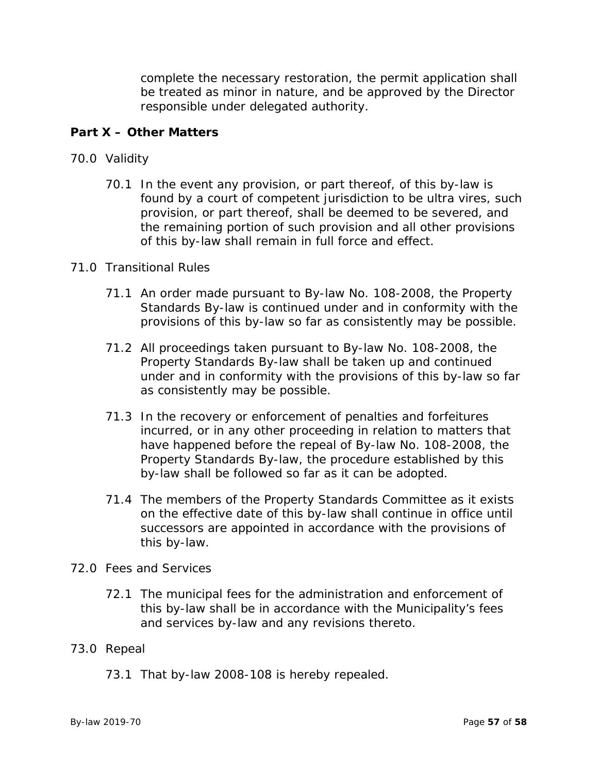complete the necessary restoration, the permit application shall be treated as minor in nature, and be approved by the Director responsible under delegated authority.

# **Part X – Other Matters**

- 70.0 Validity
	- 70.1 In the event any provision, or part thereof, of this by-law is found by a court of competent jurisdiction to be ultra vires, such provision, or part thereof, shall be deemed to be severed, and the remaining portion of such provision and all other provisions of this by-law shall remain in full force and effect.

#### 71.0 Transitional Rules

- 71.1 An order made pursuant to By-law No. 108-2008, the Property Standards By-law is continued under and in conformity with the provisions of this by-law so far as consistently may be possible.
- 71.2 All proceedings taken pursuant to By-law No. 108-2008, the Property Standards By-law shall be taken up and continued under and in conformity with the provisions of this by-law so far as consistently may be possible.
- 71.3 In the recovery or enforcement of penalties and forfeitures incurred, or in any other proceeding in relation to matters that have happened before the repeal of By-law No. 108-2008, the Property Standards By-law, the procedure established by this by-law shall be followed so far as it can be adopted.
- 71.4 The members of the Property Standards Committee as it exists on the effective date of this by-law shall continue in office until successors are appointed in accordance with the provisions of this by-law.

# 72.0 Fees and Services

72.1 The municipal fees for the administration and enforcement of this by-law shall be in accordance with the Municipality's fees and services by-law and any revisions thereto.

# 73.0 Repeal

73.1 That by-law 2008-108 is hereby repealed.